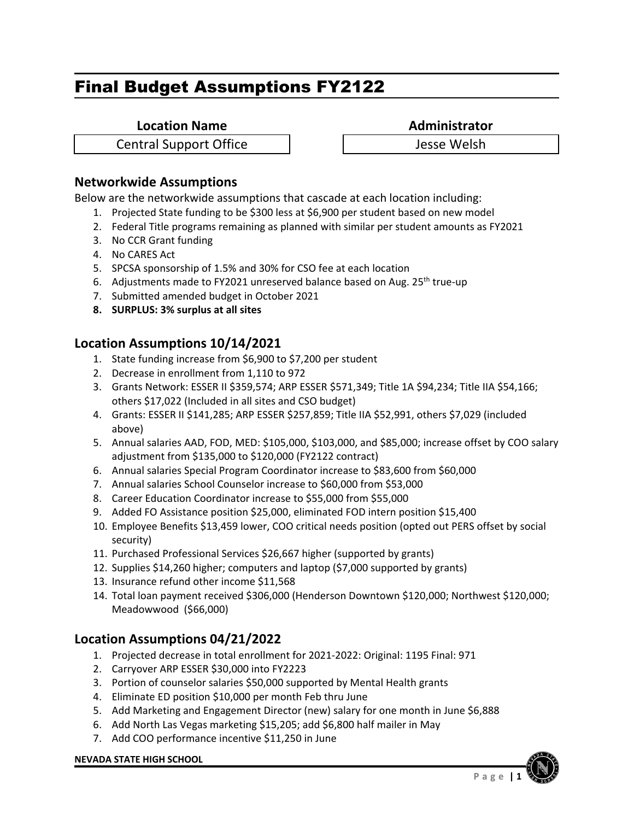**Location Name**<br> **Administrator** 

Central Support Office Jesse Welsh

# **Networkwide Assumptions**

Below are the networkwide assumptions that cascade at each location including:

- 1. Projected State funding to be \$300 less at \$6,900 per student based on new model
- 2. Federal Title programs remaining as planned with similar per student amounts as FY2021
- 3. No CCR Grant funding
- 4. No CARES Act
- 5. SPCSA sponsorship of 1.5% and 30% for CSO fee at each location
- 6. Adjustments made to FY2021 unreserved balance based on Aug.  $25<sup>th</sup>$  true-up
- 7. Submitted amended budget in October 2021
- **8. SURPLUS: 3% surplus at all sites**

# **Location Assumptions 10/14/2021**

- 1. State funding increase from \$6,900 to \$7,200 per student
- 2. Decrease in enrollment from 1,110 to 972
- 3. Grants Network: ESSER II \$359,574; ARP ESSER \$571,349; Title 1A \$94,234; Title IIA \$54,166; others \$17,022 (Included in all sites and CSO budget)
- 4. Grants: ESSER II \$141,285; ARP ESSER \$257,859; Title IIA \$52,991, others \$7,029 (included above)
- 5. Annual salaries AAD, FOD, MED: \$105,000, \$103,000, and \$85,000; increase offset by COO salary adjustment from \$135,000 to \$120,000 (FY2122 contract)
- 6. Annual salaries Special Program Coordinator increase to \$83,600 from \$60,000
- 7. Annual salaries School Counselor increase to \$60,000 from \$53,000
- 8. Career Education Coordinator increase to \$55,000 from \$55,000
- 9. Added FO Assistance position \$25,000, eliminated FOD intern position \$15,400
- 10. Employee Benefits \$13,459 lower, COO critical needs position (opted out PERS offset by social security)
- 11. Purchased Professional Services \$26,667 higher (supported by grants)
- 12. Supplies \$14,260 higher; computers and laptop (\$7,000 supported by grants)
- 13. Insurance refund other income \$11,568
- 14. Total loan payment received \$306,000 (Henderson Downtown \$120,000; Northwest \$120,000; Meadowwood (\$66,000)

- 1. Projected decrease in total enrollment for 2021‐2022: Original: 1195 Final: 971
- 2. Carryover ARP ESSER \$30,000 into FY2223
- 3. Portion of counselor salaries \$50,000 supported by Mental Health grants
- 4. Eliminate ED position \$10,000 per month Feb thru June
- 5. Add Marketing and Engagement Director (new) salary for one month in June \$6,888
- 6. Add North Las Vegas marketing \$15,205; add \$6,800 half mailer in May
- 7. Add COO performance incentive \$11,250 in June



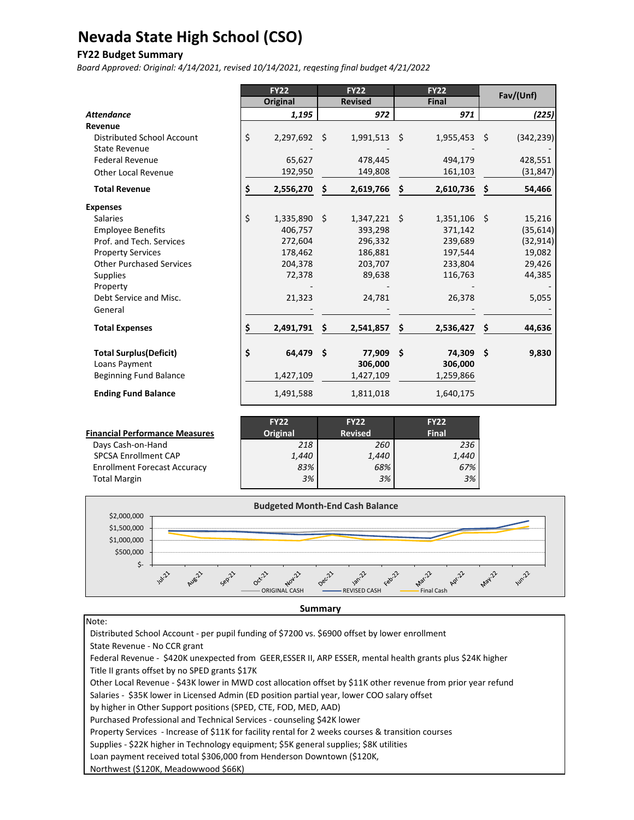# **Nevada State High School (CSO)**

### **FY22 Budget Summary**

*Board Approved: Original: 4/14/2021, revised 10/14/2021, reqesting final budget 4/21/2022*

|                                 | <b>FY22</b> |           |      | <b>FY22</b>    | <b>FY22</b>     |      | Fav/(Unf)  |
|---------------------------------|-------------|-----------|------|----------------|-----------------|------|------------|
|                                 |             | Original  |      | <b>Revised</b> | <b>Final</b>    |      |            |
| <b>Attendance</b>               |             | 1,195     |      | 972            | 971             |      | (225)      |
| Revenue                         |             |           |      |                |                 |      |            |
| Distributed School Account      | \$          | 2,297,692 | - \$ | 1,991,513 \$   | 1,955,453       | - \$ | (342, 239) |
| <b>State Revenue</b>            |             |           |      |                |                 |      |            |
| <b>Federal Revenue</b>          |             | 65,627    |      | 478,445        | 494,179         |      | 428,551    |
| <b>Other Local Revenue</b>      |             | 192,950   |      | 149,808        | 161,103         |      | (31, 847)  |
| <b>Total Revenue</b>            | \$          | 2,556,270 | \$   | 2,619,766      | \$<br>2,610,736 | \$   | 54,466     |
| <b>Expenses</b>                 |             |           |      |                |                 |      |            |
| <b>Salaries</b>                 | \$          | 1,335,890 | - \$ | $1,347,221$ \$ | 1,351,106       | - \$ | 15,216     |
| <b>Employee Benefits</b>        |             | 406,757   |      | 393,298        | 371,142         |      | (35, 614)  |
| Prof. and Tech. Services        |             | 272,604   |      | 296,332        | 239,689         |      | (32, 914)  |
| <b>Property Services</b>        |             | 178,462   |      | 186,881        | 197,544         |      | 19,082     |
| <b>Other Purchased Services</b> |             | 204,378   |      | 203,707        | 233,804         |      | 29,426     |
| <b>Supplies</b>                 |             | 72,378    |      | 89,638         | 116,763         |      | 44,385     |
| Property                        |             |           |      |                |                 |      |            |
| Debt Service and Misc.          |             | 21,323    |      | 24,781         | 26,378          |      | 5,055      |
| General                         |             |           |      |                |                 |      |            |
| <b>Total Expenses</b>           | \$          | 2,491,791 | \$   | 2,541,857      | \$<br>2,536,427 | \$   | 44,636     |
| <b>Total Surplus (Deficit)</b>  | \$          | 64,479    | - \$ | 77,909 \$      | 74,309          | \$.  | 9,830      |
| Loans Payment                   |             |           |      | 306.000        | 306,000         |      |            |
| <b>Beginning Fund Balance</b>   |             | 1,427,109 |      | 1,427,109      | 1,259,866       |      |            |
| <b>Ending Fund Balance</b>      |             | 1,491,588 |      | 1,811,018      | 1,640,175       |      |            |

|                                       | <b>FY22</b> | <b>FY22</b>    | <b>FY22</b>  |
|---------------------------------------|-------------|----------------|--------------|
| <b>Financial Performance Measures</b> | Original    | <b>Revised</b> | <b>Final</b> |
| Days Cash-on-Hand                     | 218         | 260            | 236          |
| <b>SPCSA Enrollment CAP</b>           | 1,440       | 1,440          | 1,440        |
| <b>Enrollment Forecast Accuracy</b>   | 83%         | 68%            | 67%          |
| <b>Total Margin</b>                   | 3%          | 3%             | 3%           |
|                                       |             |                |              |





Note:

Distributed School Account ‐ per pupil funding of \$7200 vs. \$6900 offset by lower enrollment

State Revenue ‐ No CCR grant

Federal Revenue - \$420K unexpected from GEER,ESSER II, ARP ESSER, mental health grants plus \$24K higher Title II grants offset by no SPED grants \$17K

Other Local Revenue ‐ \$43K lower in MWD cost allocation offset by \$11K other revenue from prior year refund

Salaries - \$35K lower in Licensed Admin (ED position partial year, lower COO salary offset

by higher in Other Support positions (SPED, CTE, FOD, MED, AAD)

Purchased Professional and Technical Services ‐ counseling \$42K lower

Property Services ‐ Increase of \$11K for facility rental for 2 weeks courses & transition courses

Supplies ‐ \$22K higher in Technology equipment; \$5K general supplies; \$8K utilities

Loan payment received total \$306,000 from Henderson Downtown (\$120K,

Northwest (\$120K, Meadowwood \$66K)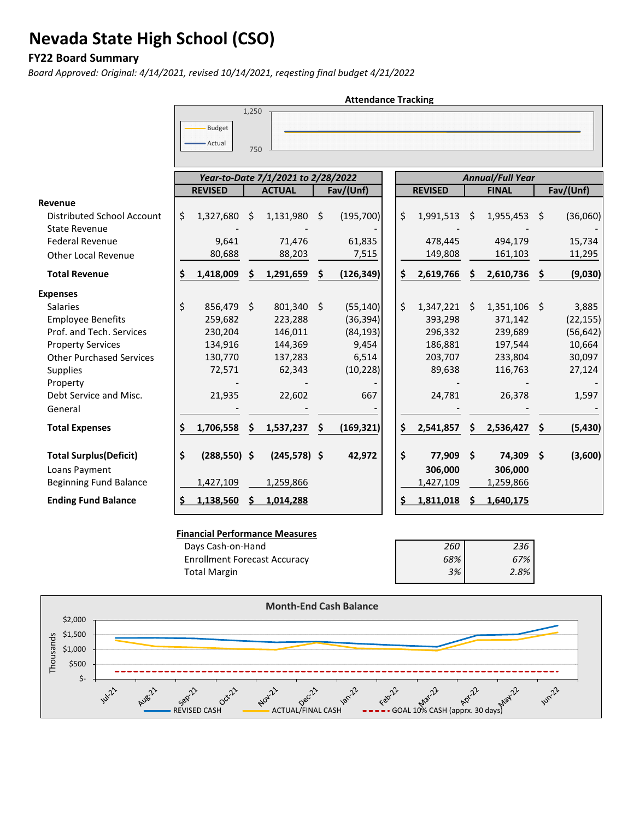# **Nevada State High School (CSO)**

# **FY22 Board Summary**

*Board Approved: Original: 4/14/2021, revised 10/14/2021, reqesting final budget 4/21/2022*

|                                 |    | <b>Attendance Tracking</b> |       |                                    |                     |            |  |                         |                |         |                |     |           |  |  |
|---------------------------------|----|----------------------------|-------|------------------------------------|---------------------|------------|--|-------------------------|----------------|---------|----------------|-----|-----------|--|--|
|                                 |    |                            | 1,250 |                                    |                     |            |  |                         |                |         |                |     |           |  |  |
|                                 |    | Budget                     |       |                                    |                     |            |  |                         |                |         |                |     |           |  |  |
|                                 |    | - Actual                   |       |                                    |                     |            |  |                         |                |         |                |     |           |  |  |
|                                 |    |                            | 750   |                                    |                     |            |  |                         |                |         |                |     |           |  |  |
|                                 |    |                            |       |                                    |                     |            |  |                         |                |         |                |     |           |  |  |
|                                 |    |                            |       | Year-to-Date 7/1/2021 to 2/28/2022 |                     |            |  | <b>Annual/Full Year</b> |                |         |                |     |           |  |  |
|                                 |    | <b>REVISED</b>             |       | <b>ACTUAL</b>                      |                     | Fav/(Unf)  |  |                         | <b>REVISED</b> |         | <b>FINAL</b>   |     | Fav/(Unf) |  |  |
| Revenue                         |    |                            |       |                                    |                     |            |  |                         |                |         |                |     |           |  |  |
| Distributed School Account      | \$ | 1,327,680                  | \$    | 1,131,980                          | \$                  | (195, 700) |  | \$                      | 1,991,513      | Ŝ.      | 1,955,453      | \$  | (36,060)  |  |  |
| <b>State Revenue</b>            |    |                            |       |                                    |                     |            |  |                         |                |         |                |     |           |  |  |
| <b>Federal Revenue</b>          |    | 9,641                      |       | 71,476                             |                     | 61,835     |  |                         | 478,445        |         | 494,179        |     | 15,734    |  |  |
| <b>Other Local Revenue</b>      |    | 80,688                     |       | 88,203                             |                     | 7,515      |  |                         | 149,808        |         | 161,103        |     | 11,295    |  |  |
| <b>Total Revenue</b>            | \$ | 1,418,009                  | \$.   | 1,291,659                          | Ŝ.                  | (126, 349) |  | \$                      | 2,619,766      | \$      | 2,610,736      | \$  | (9,030)   |  |  |
| <b>Expenses</b>                 |    |                            |       |                                    |                     |            |  |                         |                |         |                |     |           |  |  |
| <b>Salaries</b>                 | \$ | 856,479 \$                 |       | 801,340                            | $\ddot{\mathsf{S}}$ | (55, 140)  |  | \$                      | 1,347,221      | -Ś      | $1,351,106$ \$ |     | 3,885     |  |  |
| <b>Employee Benefits</b>        |    | 259,682                    |       | 223,288                            |                     | (36, 394)  |  |                         | 393,298        |         | 371,142        |     | (22, 155) |  |  |
| Prof. and Tech. Services        |    | 230,204                    |       | 146,011                            |                     | (84, 193)  |  |                         | 296,332        |         | 239,689        |     | (56, 642) |  |  |
| <b>Property Services</b>        |    | 134,916                    |       | 144,369                            |                     | 9,454      |  |                         | 186,881        |         | 197,544        |     | 10,664    |  |  |
| <b>Other Purchased Services</b> |    | 130,770                    |       | 137,283                            |                     | 6,514      |  |                         | 203,707        |         | 233,804        |     | 30,097    |  |  |
| <b>Supplies</b>                 |    | 72,571                     |       | 62,343                             |                     | (10, 228)  |  |                         | 89,638         |         | 116,763        |     | 27,124    |  |  |
| Property                        |    |                            |       |                                    |                     |            |  |                         |                |         |                |     |           |  |  |
| Debt Service and Misc.          |    | 21,935                     |       | 22,602                             |                     | 667        |  |                         | 24,781         |         | 26,378         |     | 1,597     |  |  |
| General                         |    |                            |       |                                    |                     |            |  |                         |                |         |                |     |           |  |  |
| <b>Total Expenses</b>           | Ś  | 1,706,558                  | S     | 1,537,237                          | Ś                   | (169, 321) |  | Ś.                      | 2,541,857      | Ś       | 2,536,427      | \$. | (5, 430)  |  |  |
| <b>Total Surplus (Deficit)</b>  | \$ | $(288, 550)$ \$            |       | $(245,578)$ \$                     |                     | 42,972     |  | \$                      | 77,909         | $\zeta$ | 74,309         | \$. | (3,600)   |  |  |
| Loans Payment                   |    |                            |       |                                    |                     |            |  |                         | 306,000        |         | 306,000        |     |           |  |  |
| <b>Beginning Fund Balance</b>   |    | 1,427,109                  |       | 1,259,866                          |                     |            |  |                         | 1,427,109      |         | 1,259,866      |     |           |  |  |
|                                 |    |                            |       |                                    |                     |            |  |                         |                |         |                |     |           |  |  |
| <b>Ending Fund Balance</b>      |    | 1,138,560                  |       | 1,014,288                          |                     |            |  |                         | 1,811,018      | S       | 1,640,175      |     |           |  |  |
|                                 |    |                            |       |                                    |                     |            |  |                         |                |         |                |     |           |  |  |

#### **Financial Performance Measures**

| Days Cash-on-Hand            | 260 | 236  |
|------------------------------|-----|------|
| Enrollment Forecast Accuracy | 68% | 67%  |
| Total Margin                 | 3%  | 2.8% |

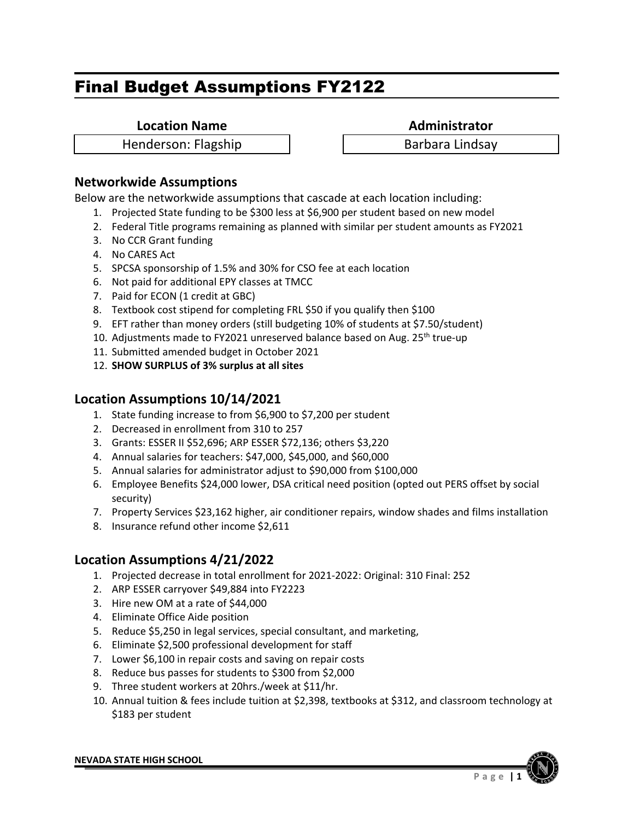**Location Name Administrator** 

Henderson: Flagship Henderson: Flagship

# **Networkwide Assumptions**

Below are the networkwide assumptions that cascade at each location including:

- 1. Projected State funding to be \$300 less at \$6,900 per student based on new model
- 2. Federal Title programs remaining as planned with similar per student amounts as FY2021
- 3. No CCR Grant funding
- 4. No CARES Act
- 5. SPCSA sponsorship of 1.5% and 30% for CSO fee at each location
- 6. Not paid for additional EPY classes at TMCC
- 7. Paid for ECON (1 credit at GBC)
- 8. Textbook cost stipend for completing FRL \$50 if you qualify then \$100
- 9. EFT rather than money orders (still budgeting 10% of students at \$7.50/student)
- 10. Adjustments made to FY2021 unreserved balance based on Aug. 25<sup>th</sup> true-up
- 11. Submitted amended budget in October 2021
- 12. **SHOW SURPLUS of 3% surplus at all sites**

# **Location Assumptions 10/14/2021**

- 1. State funding increase to from \$6,900 to \$7,200 per student
- 2. Decreased in enrollment from 310 to 257
- 3. Grants: ESSER II \$52,696; ARP ESSER \$72,136; others \$3,220
- 4. Annual salaries for teachers: \$47,000, \$45,000, and \$60,000
- 5. Annual salaries for administrator adjust to \$90,000 from \$100,000
- 6. Employee Benefits \$24,000 lower, DSA critical need position (opted out PERS offset by social security)
- 7. Property Services \$23,162 higher, air conditioner repairs, window shades and films installation
- 8. Insurance refund other income \$2,611

# **Location Assumptions 4/21/2022**

- 1. Projected decrease in total enrollment for 2021-2022: Original: 310 Final: 252
- 2. ARP ESSER carryover \$49,884 into FY2223
- 3. Hire new OM at a rate of \$44,000
- 4. Eliminate Office Aide position
- 5. Reduce \$5,250 in legal services, special consultant, and marketing,
- 6. Eliminate \$2,500 professional development for staff
- 7. Lower \$6,100 in repair costs and saving on repair costs
- 8. Reduce bus passes for students to \$300 from \$2,000
- 9. Three student workers at 20hrs./week at \$11/hr.
- 10. Annual tuition & fees include tuition at \$2,398, textbooks at \$312, and classroom technology at \$183 per student

**NEVADA STATE HIGH SCHOOL**

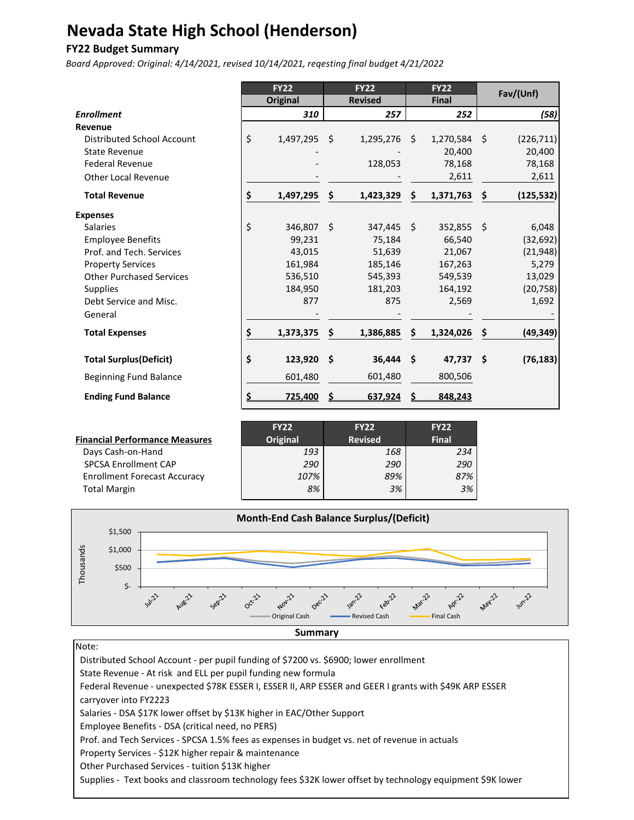# **Nevada State High School (Henderson)**

### **FY22 Budget Summary**

*Board Approved: Original: 4/14/2021, revised 10/14/2021, reqesting final budget 4/21/2022*

|                                   | <b>FY22</b> |                 |      | <b>FY22</b>    |    | <b>FY22</b>  |      | Fav/(Unf)  |
|-----------------------------------|-------------|-----------------|------|----------------|----|--------------|------|------------|
|                                   |             | <b>Original</b> |      | <b>Revised</b> |    | <b>Final</b> |      |            |
| <b>Enrollment</b>                 |             | 310             |      | 257            |    | 252          |      | (58)       |
| Revenue                           |             |                 |      |                |    |              |      |            |
| <b>Distributed School Account</b> | \$          | 1,497,295       | Ŝ.   | 1,295,276 \$   |    | 1,270,584 \$ |      | (226, 711) |
| <b>State Revenue</b>              |             |                 |      |                |    | 20,400       |      | 20,400     |
| <b>Federal Revenue</b>            |             |                 |      | 128,053        |    | 78,168       |      | 78,168     |
| <b>Other Local Revenue</b>        |             |                 |      |                |    | 2,611        |      | 2,611      |
| <b>Total Revenue</b>              | \$          | 1,497,295       | \$   | 1,423,329      | \$ | 1,371,763    | \$   | (125, 532) |
| <b>Expenses</b>                   |             |                 |      |                |    |              |      |            |
| <b>Salaries</b>                   | \$          | 346,807         | - \$ | 347,445 \$     |    | 352,855      | - \$ | 6,048      |
| <b>Employee Benefits</b>          |             | 99,231          |      | 75,184         |    | 66,540       |      | (32, 692)  |
| Prof. and Tech. Services          |             | 43,015          |      | 51,639         |    | 21,067       |      | (21, 948)  |
| <b>Property Services</b>          |             | 161,984         |      | 185,146        |    | 167,263      |      | 5,279      |
| <b>Other Purchased Services</b>   |             | 536,510         |      | 545,393        |    | 549,539      |      | 13,029     |
| Supplies                          |             | 184,950         |      | 181,203        |    | 164,192      |      | (20, 758)  |
| Debt Service and Misc.            |             | 877             |      | 875            |    | 2,569        |      | 1,692      |
| General                           |             |                 |      |                |    |              |      |            |
| <b>Total Expenses</b>             | \$          | 1,373,375       | \$   | 1,386,885      | \$ | 1,324,026    | \$   | (49, 349)  |
| <b>Total Surplus (Deficit)</b>    | \$          | 123,920         | - Ś  | $36,444$ \$    |    | 47,737       | - \$ | (76, 183)  |
| Beginning Fund Balance            |             | 601,480         |      | 601,480        |    | 800,506      |      |            |
| <b>Ending Fund Balance</b>        |             | 725,400         | Ś    | 637,924        | S  | 848,243      |      |            |

| <b>Financial Performance Measures</b> |  |  |  |  |  |  |  |  |
|---------------------------------------|--|--|--|--|--|--|--|--|
| Days Cash-on-Hand                     |  |  |  |  |  |  |  |  |
| <b>SPCSA Enrollment CAP</b>           |  |  |  |  |  |  |  |  |
| <b>Enrollment Forecast Accuracy</b>   |  |  |  |  |  |  |  |  |
| <b>Total Margin</b>                   |  |  |  |  |  |  |  |  |

|                                       | <b>FY22</b>     | <b>FY22</b>    | <b>FY22</b>  |
|---------------------------------------|-----------------|----------------|--------------|
| <b>Financial Performance Measures</b> | <b>Original</b> | <b>Revised</b> | <b>Final</b> |
| Days Cash-on-Hand                     | 193             | 168            | 234          |
| <b>SPCSA Enrollment CAP</b>           | 290             | 290            | 290          |
| <b>Enrollment Forecast Accuracy</b>   | 107%            | 89%            | 87%          |
| <b>Total Margin</b>                   | 8%              | 3%             | 3%           |
|                                       |                 |                |              |



#### Note:

 Distributed School Account ‐ per pupil funding of \$7200 vs. \$6900; lower enrollment State Revenue ‐ At risk and ELL per pupil funding new formula Federal Revenue ‐ unexpected \$78K ESSER I, ESSER II, ARP ESSER and GEER I grants with \$49K ARP ESSER carryover into FY2223 Salaries ‐ DSA \$17K lower offset by \$13K higher in EAC/Other Support Employee Benefits ‐ DSA (critical need, no PERS) Prof. and Tech Services ‐ SPCSA 1.5% fees as expenses in budget vs. net of revenue in actuals Property Services ‐ \$12K higher repair & maintenance Other Purchased Services ‐ tuition \$13K higher Supplies ‐ Text books and classroom technology fees \$32K lower offset by technology equipment \$9K lower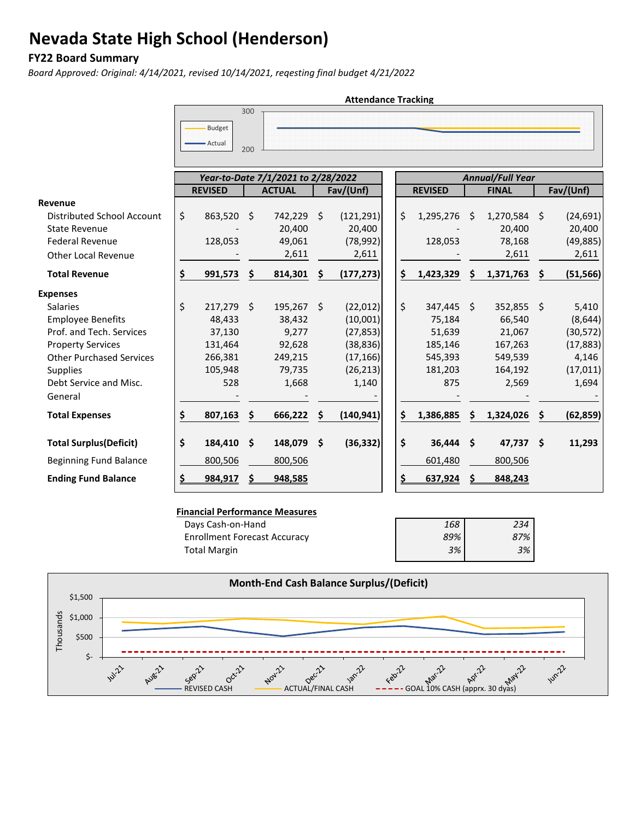# **Nevada State High School (Henderson)**

### **FY22 Board Summary**

*Board Approved: Original: 4/14/2021, revised 10/14/2021, reqesting final budget 4/21/2022*

|                                       |    | <b>Attendance Tracking</b> |            |                                    |    |            |  |    |                |    |                         |     |           |
|---------------------------------------|----|----------------------------|------------|------------------------------------|----|------------|--|----|----------------|----|-------------------------|-----|-----------|
|                                       |    | <b>Budget</b><br>- Actual  | 300<br>200 |                                    |    |            |  |    |                |    |                         |     |           |
|                                       |    |                            |            | Year-to-Date 7/1/2021 to 2/28/2022 |    |            |  |    |                |    | <b>Annual/Full Year</b> |     |           |
|                                       |    | <b>REVISED</b>             |            | <b>ACTUAL</b>                      |    | Fav/(Unf)  |  |    | <b>REVISED</b> |    | <b>FINAL</b>            |     | Fav/(Unf) |
| Revenue<br>Distributed School Account | \$ | 863,520                    | - \$       | 742,229                            | S. | (121, 291) |  | \$ | 1,295,276      | Ŝ. | 1,270,584               | Ŝ.  | (24, 691) |
| <b>State Revenue</b>                  |    |                            |            | 20,400                             |    | 20,400     |  |    |                |    | 20,400                  |     | 20,400    |
| <b>Federal Revenue</b>                |    | 128,053                    |            | 49,061                             |    | (78, 992)  |  |    | 128,053        |    | 78,168                  |     | (49, 885) |
| <b>Other Local Revenue</b>            |    |                            |            | 2,611                              |    | 2,611      |  |    |                |    | 2,611                   |     | 2,611     |
| <b>Total Revenue</b>                  | Ś  | 991,573                    | S          | 814,301                            | Ŝ. | (177, 273) |  | \$ | 1,423,329      | \$ | 1,371,763               | S.  | (51, 566) |
| <b>Expenses</b>                       |    |                            |            |                                    |    |            |  |    |                |    |                         |     |           |
| <b>Salaries</b>                       | \$ | 217,279 \$                 |            | $195,267$ \$                       |    | (22,012)   |  | \$ | 347,445        | Ŝ. | 352,855                 | - Ś | 5,410     |
| <b>Employee Benefits</b>              |    | 48,433                     |            | 38,432                             |    | (10,001)   |  |    | 75,184         |    | 66,540                  |     | (8,644)   |
| Prof. and Tech. Services              |    | 37,130                     |            | 9,277                              |    | (27, 853)  |  |    | 51,639         |    | 21,067                  |     | (30, 572) |
| <b>Property Services</b>              |    | 131,464                    |            | 92,628                             |    | (38, 836)  |  |    | 185,146        |    | 167,263                 |     | (17, 883) |
| <b>Other Purchased Services</b>       |    | 266,381                    |            | 249,215                            |    | (17, 166)  |  |    | 545,393        |    | 549,539                 |     | 4,146     |
| <b>Supplies</b>                       |    | 105,948                    |            | 79,735                             |    | (26, 213)  |  |    | 181,203        |    | 164,192                 |     | (17, 011) |
| Debt Service and Misc.                |    | 528                        |            | 1,668                              |    | 1,140      |  |    | 875            |    | 2,569                   |     | 1,694     |
| General                               |    |                            |            |                                    |    |            |  |    |                |    |                         |     |           |
| <b>Total Expenses</b>                 | \$ | 807,163                    | \$         | 666,222                            | \$ | (140, 941) |  | \$ | 1,386,885      | \$ | 1,324,026               | \$. | (62, 859) |
| <b>Total Surplus(Deficit)</b>         | \$ | 184,410                    | Ŝ          | 148,079                            | Ŝ  | (36, 332)  |  | \$ | 36,444         | Ŝ  | 47,737                  | Ŝ   | 11,293    |
| Beginning Fund Balance                |    | 800,506                    |            | 800,506                            |    |            |  |    | 601,480        |    | 800,506                 |     |           |
| <b>Ending Fund Balance</b>            |    | 984,917                    | S          | 948,585                            |    |            |  |    | 637,924        |    | 848,243                 |     |           |

#### **Financial Performance Measures**



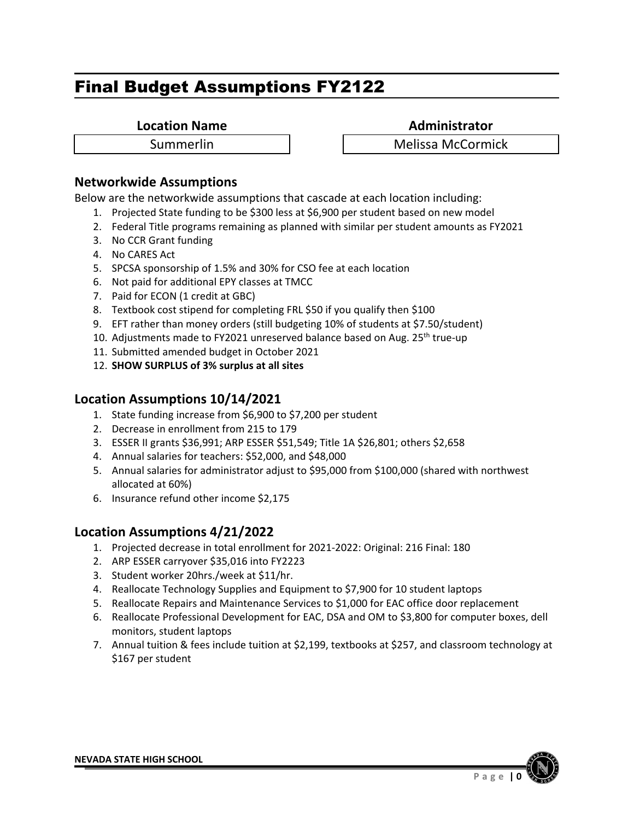### **Location Name**<br> **Administrator**

Summerlin Melissa McCormick

# **Networkwide Assumptions**

Below are the networkwide assumptions that cascade at each location including:

- 1. Projected State funding to be \$300 less at \$6,900 per student based on new model
- 2. Federal Title programs remaining as planned with similar per student amounts as FY2021
- 3. No CCR Grant funding
- 4. No CARES Act
- 5. SPCSA sponsorship of 1.5% and 30% for CSO fee at each location
- 6. Not paid for additional EPY classes at TMCC
- 7. Paid for ECON (1 credit at GBC)
- 8. Textbook cost stipend for completing FRL \$50 if you qualify then \$100
- 9. EFT rather than money orders (still budgeting 10% of students at \$7.50/student)
- 10. Adjustments made to FY2021 unreserved balance based on Aug. 25<sup>th</sup> true-up
- 11. Submitted amended budget in October 2021
- 12. **SHOW SURPLUS of 3% surplus at all sites**

# **Location Assumptions 10/14/2021**

- 1. State funding increase from \$6,900 to \$7,200 per student
- 2. Decrease in enrollment from 215 to 179
- 3. ESSER II grants \$36,991; ARP ESSER \$51,549; Title 1A \$26,801; others \$2,658
- 4. Annual salaries for teachers: \$52,000, and \$48,000
- 5. Annual salaries for administrator adjust to \$95,000 from \$100,000 (shared with northwest allocated at 60%)
- 6. Insurance refund other income \$2,175

- 1. Projected decrease in total enrollment for 2021‐2022: Original: 216 Final: 180
- 2. ARP ESSER carryover \$35,016 into FY2223
- 3. Student worker 20hrs./week at \$11/hr.
- 4. Reallocate Technology Supplies and Equipment to \$7,900 for 10 student laptops
- 5. Reallocate Repairs and Maintenance Services to \$1,000 for EAC office door replacement
- 6. Reallocate Professional Development for EAC, DSA and OM to \$3,800 for computer boxes, dell monitors, student laptops
- 7. Annual tuition & fees include tuition at \$2,199, textbooks at \$257, and classroom technology at \$167 per student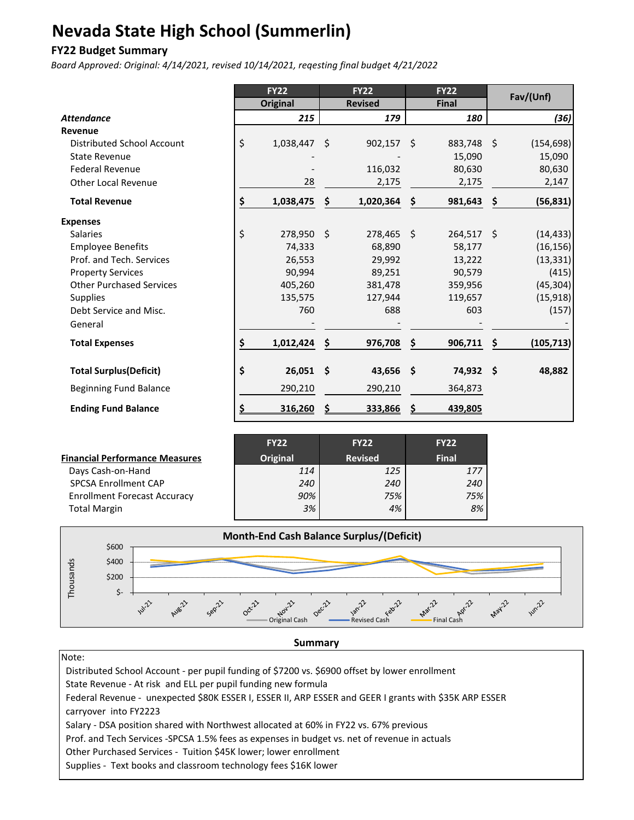# **Nevada State High School (Summerlin)**

# **FY22 Budget Summary**

*Board Approved: Original: 4/14/2021, revised 10/14/2021, reqesting final budget 4/21/2022*

|                                 | <b>FY22</b>       |    | <b>FY22</b>    |      | <b>FY22</b>  |     | Fav/(Unf)  |
|---------------------------------|-------------------|----|----------------|------|--------------|-----|------------|
|                                 | <b>Original</b>   |    | <b>Revised</b> |      | <b>Final</b> |     |            |
| <b>Attendance</b>               | 215               |    | 179            |      | 180          |     | (36)       |
| Revenue                         |                   |    |                |      |              |     |            |
| Distributed School Account      | \$<br>1,038,447   | Ŝ. | 902,157        | - \$ | 883,748      | -\$ | (154, 698) |
| <b>State Revenue</b>            |                   |    |                |      | 15,090       |     | 15,090     |
| <b>Federal Revenue</b>          |                   |    | 116,032        |      | 80,630       |     | 80,630     |
| Other Local Revenue             | 28                |    | 2,175          |      | 2,175        |     | 2,147      |
| <b>Total Revenue</b>            | \$<br>1,038,475   | \$ | 1,020,364      | \$   | 981,643      | \$  | (56, 831)  |
| <b>Expenses</b>                 |                   |    |                |      |              |     |            |
| <b>Salaries</b>                 | \$<br>278,950     | \$ | 278,465        | - Ś  | 264,517 \$   |     | (14, 433)  |
| <b>Employee Benefits</b>        | 74.333            |    | 68,890         |      | 58,177       |     | (16, 156)  |
| Prof. and Tech. Services        | 26,553            |    | 29,992         |      | 13,222       |     | (13, 331)  |
| <b>Property Services</b>        | 90,994            |    | 89,251         |      | 90,579       |     | (415)      |
| <b>Other Purchased Services</b> | 405,260           |    | 381,478        |      | 359,956      |     | (45, 304)  |
| Supplies                        | 135,575           |    | 127,944        |      | 119,657      |     | (15, 918)  |
| Debt Service and Misc.          | 760               |    | 688            |      | 603          |     | (157)      |
| General                         |                   |    |                |      |              |     |            |
| <b>Total Expenses</b>           | \$<br>1,012,424   | \$ | 976,708        | \$   | 906,711      | \$  | (105, 713) |
| <b>Total Surplus (Deficit)</b>  | \$<br>$26,051$ \$ |    | 43,656         | Ŝ.   | 74,932 \$    |     | 48,882     |
| Beginning Fund Balance          | 290,210           |    | 290,210        |      | 364,873      |     |            |
| <b>Ending Fund Balance</b>      | 316,260           |    | 333,866        | S    | 439,805      |     |            |

|                                       | <b>FY22</b> | <b>FY22</b>    | <b>FY22</b>  |
|---------------------------------------|-------------|----------------|--------------|
| <b>Financial Performance Measures</b> | Original    | <b>Revised</b> | <b>Final</b> |
| Days Cash-on-Hand                     | 114         | 125            | 177          |
| <b>SPCSA Enrollment CAP</b>           | 240         | 240            | 240          |
| <b>Enrollment Forecast Accuracy</b>   | 90%         | 75%            | 75%          |
| <b>Total Margin</b>                   | 3%          | 4%             | 8%           |



#### **Summary**

Note: Distributed School Account ‐ per pupil funding of \$7200 vs. \$6900 offset by lower enrollment State Revenue ‐ At risk and ELL per pupil funding new formula Federal Revenue - unexpected \$80K ESSER I, ESSER II, ARP ESSER and GEER I grants with \$35K ARP ESSER carryover into FY2223 Salary ‐ DSA position shared with Northwest allocated at 60% in FY22 vs. 67% previous Prof. and Tech Services ‐SPCSA 1.5% fees as expenses in budget vs. net of revenue in actuals Other Purchased Services ‐ Tuition \$45K lower; lower enrollment Supplies ‐ Text books and classroom technology fees \$16K lower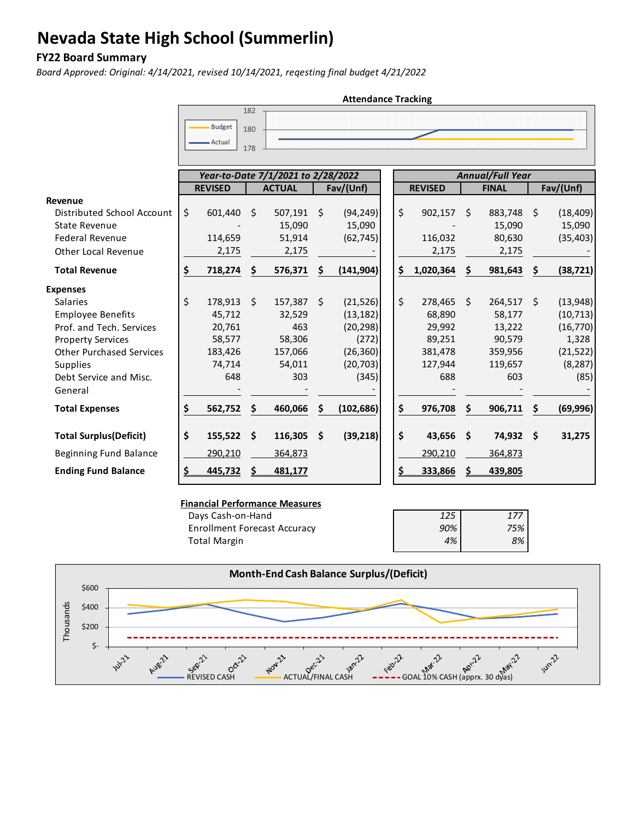# **Nevada State High School (Summerlin)**

## **FY22 Board Summary**

*Board Approved: Original: 4/14/2021, revised 10/14/2021, reqesting final budget 4/21/2022*

|                                 |    |                |      |                                    |     | <b>Attendance Tracking</b> |  |                         |                |      |              |    |           |  |  |
|---------------------------------|----|----------------|------|------------------------------------|-----|----------------------------|--|-------------------------|----------------|------|--------------|----|-----------|--|--|
|                                 |    | 182            |      |                                    |     |                            |  |                         |                |      |              |    |           |  |  |
|                                 |    | Budget<br>180  |      |                                    |     |                            |  |                         |                |      |              |    |           |  |  |
|                                 |    | - Actual       |      |                                    |     |                            |  |                         |                |      |              |    |           |  |  |
|                                 |    |                | 178  |                                    |     |                            |  |                         |                |      |              |    |           |  |  |
|                                 |    |                |      |                                    |     |                            |  |                         |                |      |              |    |           |  |  |
|                                 |    |                |      | Year-to-Date 7/1/2021 to 2/28/2022 |     |                            |  | <b>Annual/Full Year</b> |                |      |              |    |           |  |  |
|                                 |    | <b>REVISED</b> |      | <b>ACTUAL</b>                      |     | Fav/(Unf)                  |  |                         | <b>REVISED</b> |      | <b>FINAL</b> |    | Fav/(Unf) |  |  |
| Revenue                         |    |                |      |                                    |     |                            |  |                         |                |      |              |    |           |  |  |
| Distributed School Account      | \$ | 601,440        | Ŝ.   | 507,191                            | -\$ | (94, 249)                  |  | \$                      | 902,157        | - \$ | 883,748      | \$ | (18, 409) |  |  |
| State Revenue                   |    |                |      | 15,090                             |     | 15,090                     |  |                         |                |      | 15,090       |    | 15,090    |  |  |
| <b>Federal Revenue</b>          |    | 114,659        |      | 51,914                             |     | (62, 745)                  |  |                         | 116,032        |      | 80,630       |    | (35, 403) |  |  |
| <b>Other Local Revenue</b>      |    | 2,175          |      | 2,175                              |     |                            |  |                         | 2,175          |      | 2,175        |    |           |  |  |
| <b>Total Revenue</b>            | \$ | 718,274        | \$   | 576,371                            | S   | (141, 904)                 |  | \$                      | 1,020,364      | Ŝ.   | 981,643      | S  | (38, 721) |  |  |
| <b>Expenses</b>                 |    |                |      |                                    |     |                            |  |                         |                |      |              |    |           |  |  |
| <b>Salaries</b>                 | \$ | 178,913        | - \$ | $157,387$ \$                       |     | (21, 526)                  |  | \$                      | 278,465        | S.   | 264,517 \$   |    | (13,948)  |  |  |
| <b>Employee Benefits</b>        |    | 45,712         |      | 32,529                             |     | (13, 182)                  |  |                         | 68,890         |      | 58,177       |    | (10, 713) |  |  |
| Prof. and Tech. Services        |    | 20,761         |      | 463                                |     | (20, 298)                  |  |                         | 29,992         |      | 13,222       |    | (16, 770) |  |  |
| <b>Property Services</b>        |    | 58,577         |      | 58,306                             |     | (272)                      |  |                         | 89,251         |      | 90,579       |    | 1,328     |  |  |
| <b>Other Purchased Services</b> |    | 183,426        |      | 157,066                            |     | (26, 360)                  |  |                         | 381,478        |      | 359,956      |    | (21, 522) |  |  |
| Supplies                        |    | 74,714         |      | 54,011                             |     | (20, 703)                  |  |                         | 127,944        |      | 119,657      |    | (8, 287)  |  |  |
| Debt Service and Misc.          |    | 648            |      | 303                                |     | (345)                      |  |                         | 688            |      | 603          |    | (85)      |  |  |
| General                         |    |                |      |                                    |     |                            |  |                         |                |      |              |    |           |  |  |
| <b>Total Expenses</b>           | \$ | 562,752        | \$   | 460,066                            | Ŝ.  | (102, 686)                 |  | \$                      | 976,708        | \$   | 906,711      | S  | (69, 996) |  |  |
| <b>Total Surplus (Deficit)</b>  | \$ | 155,522        | Ŝ.   | 116,305                            | -S  | (39, 218)                  |  | \$                      | 43,656         | Ŝ.   | 74,932 \$    |    | 31,275    |  |  |
| Beginning Fund Balance          |    | 290,210        |      | 364,873                            |     |                            |  |                         | 290,210        |      | 364,873      |    |           |  |  |
| <b>Ending Fund Balance</b>      | S  | 445,732        | \$   | 481,177                            |     |                            |  | \$                      | 333,866        | S    | 439,805      |    |           |  |  |

### **Attendance Tracking**

#### **Financial Performance Measures**

Days Cash‐on‐Hand  *125 177* **Enrollment Forecast Accuracy Total Margin** 

| 125 | 177 |
|-----|-----|
| 90% | 75% |
| 4%  | 8%  |
|     |     |

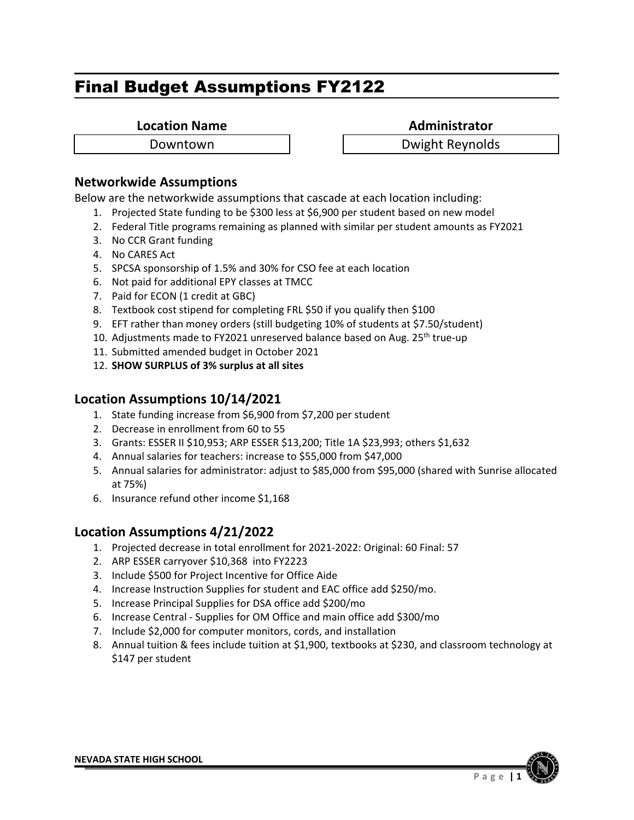### **Location Name**<br> **Administrator**

Downtown Dwight Reynolds

# **Networkwide Assumptions**

Below are the networkwide assumptions that cascade at each location including:

- 1. Projected State funding to be \$300 less at \$6,900 per student based on new model
- 2. Federal Title programs remaining as planned with similar per student amounts as FY2021
- 3. No CCR Grant funding
- 4. No CARES Act
- 5. SPCSA sponsorship of 1.5% and 30% for CSO fee at each location
- 6. Not paid for additional EPY classes at TMCC
- 7. Paid for ECON (1 credit at GBC)
- 8. Textbook cost stipend for completing FRL \$50 if you qualify then \$100
- 9. EFT rather than money orders (still budgeting 10% of students at \$7.50/student)
- 10. Adjustments made to FY2021 unreserved balance based on Aug. 25<sup>th</sup> true-up
- 11. Submitted amended budget in October 2021
- 12. **SHOW SURPLUS of 3% surplus at all sites**

# **Location Assumptions 10/14/2021**

- 1. State funding increase from \$6,900 from \$7,200 per student
- 2. Decrease in enrollment from 60 to 55
- 3. Grants: ESSER II \$10,953; ARP ESSER \$13,200; Title 1A \$23,993; others \$1,632
- 4. Annual salaries for teachers: increase to \$55,000 from \$47,000
- 5. Annual salaries for administrator: adjust to \$85,000 from \$95,000 (shared with Sunrise allocated at 75%)
- 6. Insurance refund other income \$1,168

- 1. Projected decrease in total enrollment for 2021‐2022: Original: 60 Final: 57
- 2. ARP ESSER carryover \$10,368 into FY2223
- 3. Include \$500 for Project Incentive for Office Aide
- 4. Increase Instruction Supplies for student and EAC office add \$250/mo.
- 5. Increase Principal Supplies for DSA office add \$200/mo
- 6. Increase Central ‐ Supplies for OM Office and main office add \$300/mo
- 7. Include \$2,000 for computer monitors, cords, and installation
- 8. Annual tuition & fees include tuition at \$1,900, textbooks at \$230, and classroom technology at \$147 per student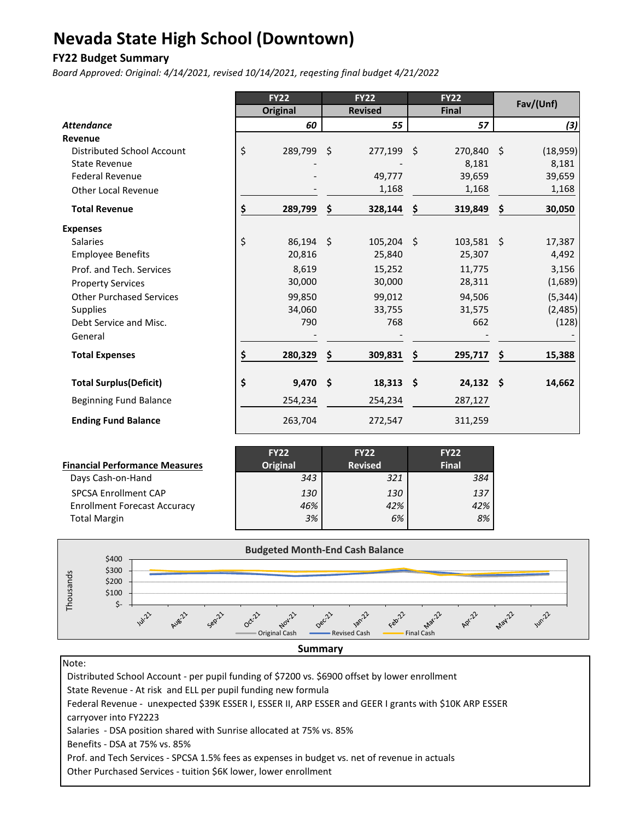# **Nevada State High School (Downtown)**

### **FY22 Budget Summary**

*Board Approved: Original: 4/14/2021, revised 10/14/2021, reqesting final budget 4/21/2022*

|                                   | <b>FY22</b> |             |    | <b>FY22</b>    | <b>FY22</b>   |      | Fav/(Unf) |
|-----------------------------------|-------------|-------------|----|----------------|---------------|------|-----------|
|                                   |             | Original    |    | <b>Revised</b> | <b>Final</b>  |      |           |
| <b>Attendance</b>                 |             | 60          |    | 55             | 57            |      | (3)       |
| Revenue                           |             |             |    |                |               |      |           |
| <b>Distributed School Account</b> | \$          | 289,799 \$  |    | 277,199 \$     | 270,840       | - \$ | (18, 959) |
| <b>State Revenue</b>              |             |             |    |                | 8,181         |      | 8,181     |
| <b>Federal Revenue</b>            |             |             |    | 49,777         | 39,659        |      | 39,659    |
| <b>Other Local Revenue</b>        |             |             |    | 1,168          | 1,168         |      | 1,168     |
| <b>Total Revenue</b>              | \$          | 289,799     | Ş  | 328,144        | \$<br>319,849 | \$   | 30,050    |
| <b>Expenses</b>                   |             |             |    |                |               |      |           |
| <b>Salaries</b>                   | \$          | $86,194$ \$ |    | $105,204$ \$   | $103,581$ \$  |      | 17,387    |
| <b>Employee Benefits</b>          |             | 20,816      |    | 25,840         | 25,307        |      | 4,492     |
| Prof. and Tech. Services          |             | 8,619       |    | 15,252         | 11,775        |      | 3,156     |
| <b>Property Services</b>          |             | 30,000      |    | 30,000         | 28,311        |      | (1,689)   |
| <b>Other Purchased Services</b>   |             | 99,850      |    | 99,012         | 94,506        |      | (5, 344)  |
| Supplies                          |             | 34,060      |    | 33,755         | 31,575        |      | (2,485)   |
| Debt Service and Misc.            |             | 790         |    | 768            | 662           |      | (128)     |
| General                           |             |             |    |                |               |      |           |
| <b>Total Expenses</b>             | \$          | 280,329     | \$ | 309,831        | \$<br>295,717 | \$   | 15,388    |
| <b>Total Surplus (Deficit)</b>    | \$          | $9,470$ \$  |    | $18,313$ \$    | $24,132$ \$   |      | 14,662    |
| <b>Beginning Fund Balance</b>     |             | 254,234     |    | 254,234        | 287,127       |      |           |
| <b>Ending Fund Balance</b>        |             | 263,704     |    | 272,547        | 311,259       |      |           |

|                                       | <b>FY22</b>     | <b>FY22</b>    | <b>FY22</b>  |
|---------------------------------------|-----------------|----------------|--------------|
| <b>Financial Performance Measures</b> | <b>Original</b> | <b>Revised</b> | <b>Final</b> |
| Days Cash-on-Hand                     | 343             | 321            | 384          |
| <b>SPCSA Enrollment CAP</b>           | 130             | 130            | 137          |
| <b>Enrollment Forecast Accuracy</b>   | 46%             | 42%            | 42%          |
| <b>Total Margin</b>                   | 3%              | 6%             | 8%           |



**Summary**

Note: Distributed School Account ‐ per pupil funding of \$7200 vs. \$6900 offset by lower enrollment State Revenue ‐ At risk and ELL per pupil funding new formula Federal Revenue - unexpected \$39K ESSER I, ESSER II, ARP ESSER and GEER I grants with \$10K ARP ESSER carryover into FY2223 Salaries ‐ DSA position shared with Sunrise allocated at 75% vs. 85% Benefits ‐ DSA at 75% vs. 85% Prof. and Tech Services ‐ SPCSA 1.5% fees as expenses in budget vs. net of revenue in actuals Other Purchased Services ‐ tuition \$6K lower, lower enrollment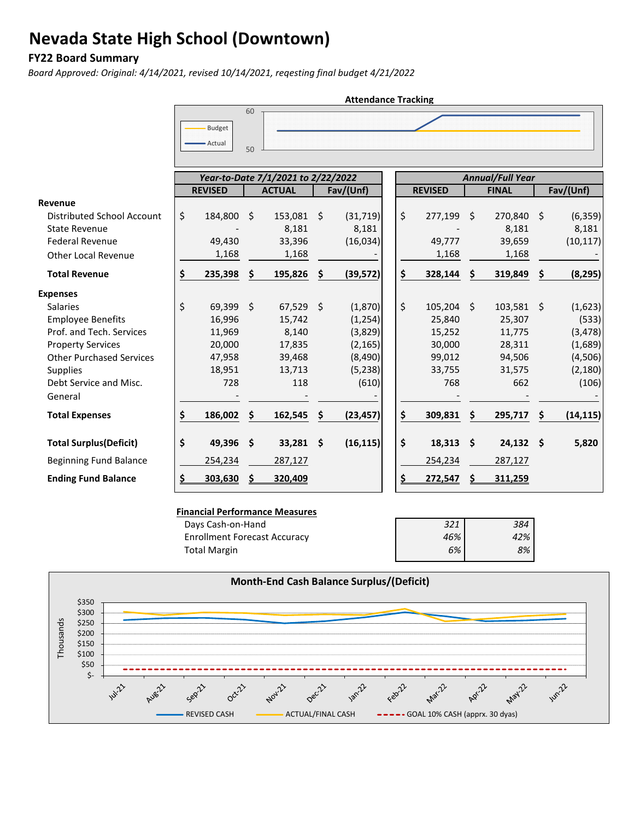# **Nevada State High School (Downtown)**

# **FY22 Board Summary**

*Board Approved: Original: 4/14/2021, revised 10/14/2021, reqesting final budget 4/21/2022*

|                                 |                 |      |                                    |    | <b>ALICHUATILE HALNING</b> |           |                |         |                         |      |           |
|---------------------------------|-----------------|------|------------------------------------|----|----------------------------|-----------|----------------|---------|-------------------------|------|-----------|
|                                 | Budget          | 60   |                                    |    |                            |           |                |         |                         |      |           |
|                                 | - Actual        |      |                                    |    |                            |           |                |         |                         |      |           |
|                                 |                 | 50   |                                    |    |                            |           |                |         |                         |      |           |
|                                 |                 |      | Year-to-Date 7/1/2021 to 2/22/2022 |    |                            |           |                |         | <b>Annual/Full Year</b> |      |           |
|                                 | <b>REVISED</b>  |      | <b>ACTUAL</b>                      |    | Fav/(Unf)                  |           | <b>REVISED</b> |         | <b>FINAL</b>            |      | Fav/(Unf) |
| Revenue                         |                 |      |                                    |    |                            |           |                |         |                         |      |           |
| Distributed School Account      | \$<br>184,800   | - \$ | 153,081 \$                         |    | (31, 719)                  | \$        | 277,199        | - \$    | 270,840                 | - \$ | (6, 359)  |
| <b>State Revenue</b>            |                 |      | 8,181                              |    | 8,181                      |           |                |         | 8,181                   |      | 8,181     |
| <b>Federal Revenue</b>          | 49,430          |      | 33,396                             |    | (16,034)                   |           | 49,777         |         | 39,659                  |      | (10, 117) |
| <b>Other Local Revenue</b>      | 1,168           |      | 1,168                              |    |                            |           | 1,168          |         | 1,168                   |      |           |
| <b>Total Revenue</b>            | \$<br>235,398   | Ŝ.   | 195,826                            | Ŝ  | (39, 572)                  | \$        | 328,144        | \$      | 319,849                 | S    | (8, 295)  |
| <b>Expenses</b>                 |                 |      |                                    |    |                            |           |                |         |                         |      |           |
| <b>Salaries</b>                 | \$<br>69,399 \$ |      | 67,529 \$                          |    | (1,870)                    | \$        | 105,204 \$     |         | 103,581 \$              |      | (1,623)   |
| <b>Employee Benefits</b>        | 16,996          |      | 15,742                             |    | (1, 254)                   |           | 25,840         |         | 25,307                  |      | (533)     |
| Prof. and Tech. Services        | 11,969          |      | 8,140                              |    | (3,829)                    |           | 15,252         |         | 11,775                  |      | (3, 478)  |
| <b>Property Services</b>        | 20,000          |      | 17,835                             |    | (2, 165)                   |           | 30,000         |         | 28,311                  |      | (1,689)   |
| <b>Other Purchased Services</b> | 47,958          |      | 39,468                             |    | (8, 490)                   |           | 99,012         |         | 94,506                  |      | (4,506)   |
| <b>Supplies</b>                 | 18,951          |      | 13,713                             |    | (5, 238)                   |           | 33,755         |         | 31,575                  |      | (2, 180)  |
| Debt Service and Misc.          | 728             |      | 118                                |    | (610)                      |           | 768            |         | 662                     |      | (106)     |
| General                         |                 |      |                                    |    |                            |           |                |         |                         |      |           |
| <b>Total Expenses</b>           | \$<br>186,002   | \$   | 162,545                            | \$ | (23, 457)                  | \$        | 309,831        | \$      | 295,717                 | \$   | (14, 115) |
| <b>Total Surplus (Deficit)</b>  | \$<br>49,396    | \$   | 33,281 \$                          |    | (16, 115)                  | \$        | 18,313         | $\zeta$ | $24,132$ \$             |      | 5,820     |
| Beginning Fund Balance          | 254,234         |      | 287,127                            |    |                            |           | 254,234        |         | 287,127                 |      |           |
| <b>Ending Fund Balance</b>      | 303,630         | \$.  | 320,409                            |    |                            | <u>\$</u> | 272,547        |         | 311,259                 |      |           |

#### **Attendance Tracking**

### **Financial Performance Measures**

Days Cash‐on‐Hand  *321 384* **Enrollment Forecast Accuracy Total Margin** 

| 321 | 384 |
|-----|-----|
| 46% | 42% |
| 6%  | 8%  |
|     |     |

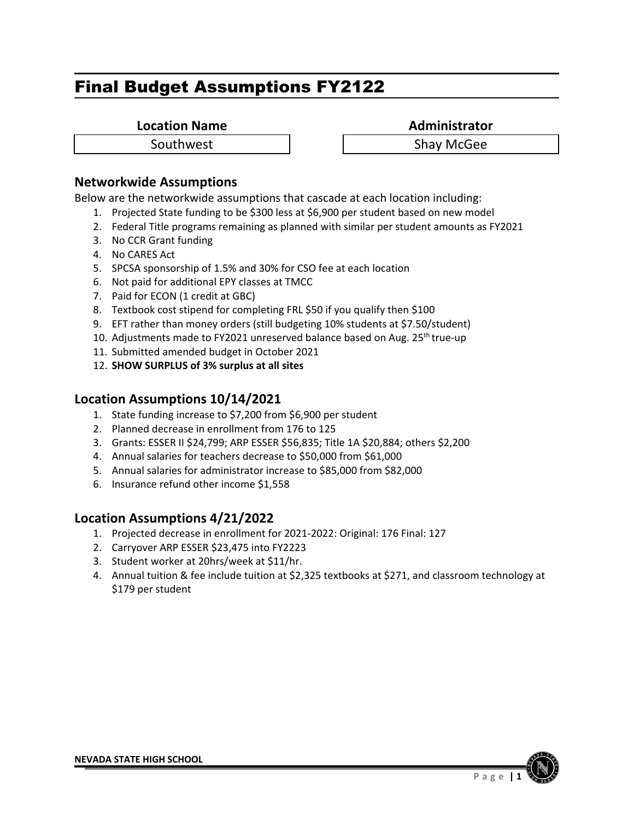### **Location Name**<br> **Administrator**

Southwest **1** 1 Shay McGee

# **Networkwide Assumptions**

Below are the networkwide assumptions that cascade at each location including:

- 1. Projected State funding to be \$300 less at \$6,900 per student based on new model
- 2. Federal Title programs remaining as planned with similar per student amounts as FY2021
- 3. No CCR Grant funding
- 4. No CARES Act
- 5. SPCSA sponsorship of 1.5% and 30% for CSO fee at each location
- 6. Not paid for additional EPY classes at TMCC
- 7. Paid for ECON (1 credit at GBC)
- 8. Textbook cost stipend for completing FRL \$50 if you qualify then \$100
- 9. EFT rather than money orders (still budgeting 10% students at \$7.50/student)
- 10. Adjustments made to FY2021 unreserved balance based on Aug. 25<sup>th</sup> true-up
- 11. Submitted amended budget in October 2021
- 12. **SHOW SURPLUS of 3% surplus at all sites**

# **Location Assumptions 10/14/2021**

- 1. State funding increase to \$7,200 from \$6,900 per student
- 2. Planned decrease in enrollment from 176 to 125
- 3. Grants: ESSER II \$24,799; ARP ESSER \$56,835; Title 1A \$20,884; others \$2,200
- 4. Annual salaries for teachers decrease to \$50,000 from \$61,000
- 5. Annual salaries for administrator increase to \$85,000 from \$82,000
- 6. Insurance refund other income \$1,558

- 1. Projected decrease in enrollment for 2021‐2022: Original: 176 Final: 127
- 2. Carryover ARP ESSER \$23,475 into FY2223
- 3. Student worker at 20hrs/week at \$11/hr.
- 4. Annual tuition & fee include tuition at \$2,325 textbooks at \$271, and classroom technology at \$179 per student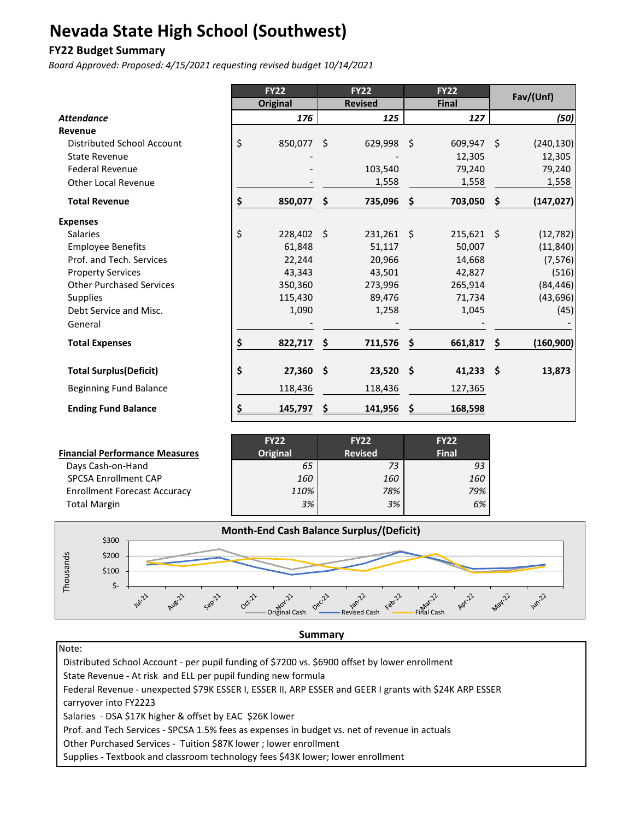# **Nevada State High School (Southwest)**

### **FY22 Budget Summary**

*Board Approved: Proposed: 4/15/2021 requesting revised budget 10/14/2021*

|                                 | <b>FY22</b> |             |    | <b>FY22</b>    | <b>FY22</b>        | Fav/(Unf)        |
|---------------------------------|-------------|-------------|----|----------------|--------------------|------------------|
|                                 |             | Original    |    | <b>Revised</b> | Final              |                  |
| <b>Attendance</b>               |             | 176         |    | 125            | 127                | (50)             |
| Revenue                         |             |             |    |                |                    |                  |
| Distributed School Account      | \$          | 850,077 \$  |    | 629,998        | \$<br>$609,947$ \$ | (240, 130)       |
| <b>State Revenue</b>            |             |             |    |                | 12,305             | 12,305           |
| <b>Federal Revenue</b>          |             |             |    | 103,540        | 79,240             | 79,240           |
| <b>Other Local Revenue</b>      |             |             |    | 1,558          | 1,558              | 1,558            |
| <b>Total Revenue</b>            | \$          | 850,077     | \$ | 735,096        | \$<br>703,050      | \$<br>(147, 027) |
| <b>Expenses</b>                 |             |             |    |                |                    |                  |
| <b>Salaries</b>                 | \$          | 228,402 \$  |    | $231,261$ \$   | $215,621$ \$       | (12, 782)        |
| <b>Employee Benefits</b>        |             | 61,848      |    | 51,117         | 50,007             | (11, 840)        |
| Prof. and Tech. Services        |             | 22,244      |    | 20,966         | 14,668             | (7, 576)         |
| <b>Property Services</b>        |             | 43,343      |    | 43,501         | 42,827             | (516)            |
| <b>Other Purchased Services</b> |             | 350,360     |    | 273,996        | 265,914            | (84, 446)        |
| Supplies                        |             | 115,430     |    | 89,476         | 71,734             | (43, 696)        |
| Debt Service and Misc.          |             | 1,090       |    | 1,258          | 1,045              | (45)             |
| General                         |             |             |    |                |                    |                  |
| <b>Total Expenses</b>           | \$          | 822,717     | S  | 711,576        | \$<br>661,817      | \$<br>(160, 900) |
| <b>Total Surplus (Deficit)</b>  | \$          | $27,360$ \$ |    | $23,520$ \$    | $41,233$ \$        | 13,873           |
| Beginning Fund Balance          |             | 118,436     |    | 118,436        | 127,365            |                  |
| <b>Ending Fund Balance</b>      |             | 145,797     |    | 141,956        | 168,598            |                  |

|                                       | <b>FY22</b> | <b>FY22</b>    | <b>FY22</b>  |
|---------------------------------------|-------------|----------------|--------------|
| <b>Financial Performance Measures</b> | Original    | <b>Revised</b> | <b>Final</b> |
| Days Cash-on-Hand                     | 65          | 73             | 93           |
| <b>SPCSA Enrollment CAP</b>           | 160         | 160            | 160          |
| <b>Enrollment Forecast Accuracy</b>   | 110%        | 78%            | 79%          |
| <b>Total Margin</b>                   | 3%          | 3%             | 6%           |



**Summary**

Note: Distributed School Account ‐ per pupil funding of \$7200 vs. \$6900 offset by lower enrollment State Revenue ‐ At risk and ELL per pupil funding new formula Federal Revenue - unexpected \$79K ESSER I, ESSER II, ARP ESSER and GEER I grants with \$24K ARP ESSER carryover into FY2223 Salaries ‐ DSA \$17K higher & offset by EAC \$26K lower Prof. and Tech Services ‐ SPCSA 1.5% fees as expenses in budget vs. net of revenue in actuals Other Purchased Services ‐ Tuition \$87K lower ; lower enrollment Supplies ‐ Textbook and classroom technology fees \$43K lower; lower enrollment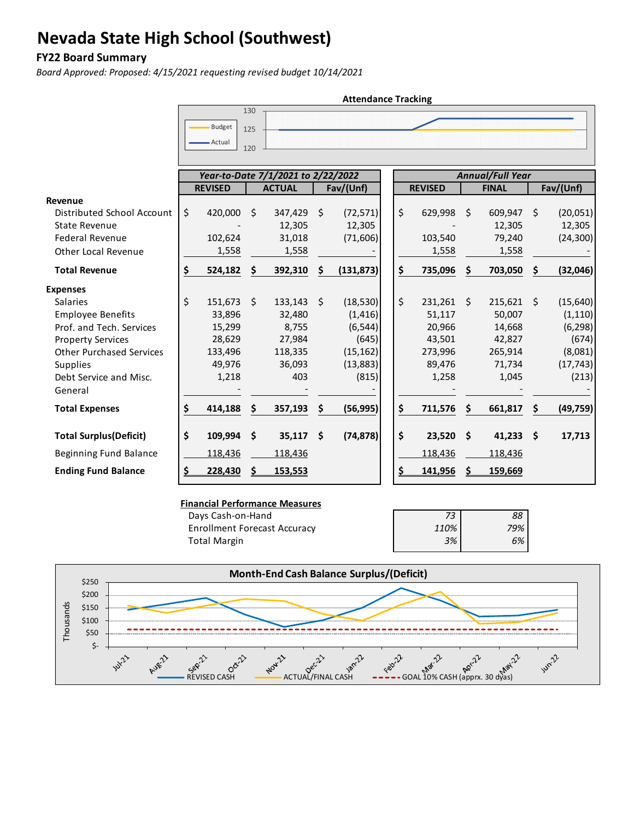# **Nevada State High School (Southwest)**

### **FY22 Board Summary**

*Board Approved: Proposed: 4/15/2021 requesting revised budget 10/14/2021*

|                                 |                |     |                                    |    | <b>Attendance Tracking</b> |  |                         |                |      |              |      |           |  |
|---------------------------------|----------------|-----|------------------------------------|----|----------------------------|--|-------------------------|----------------|------|--------------|------|-----------|--|
|                                 | 130            |     |                                    |    |                            |  |                         |                |      |              |      |           |  |
|                                 | Budget         | 125 |                                    |    |                            |  |                         |                |      |              |      |           |  |
|                                 | - Actual       |     |                                    |    |                            |  |                         |                |      |              |      |           |  |
|                                 |                | 120 |                                    |    |                            |  |                         |                |      |              |      |           |  |
|                                 |                |     |                                    |    |                            |  |                         |                |      |              |      |           |  |
|                                 |                |     | Year-to-Date 7/1/2021 to 2/22/2022 |    |                            |  | <b>Annual/Full Year</b> |                |      |              |      |           |  |
|                                 | <b>REVISED</b> |     | <b>ACTUAL</b>                      |    | Fav/(Unf)                  |  |                         | <b>REVISED</b> |      | <b>FINAL</b> |      | Fav/(Unf) |  |
| Revenue                         |                |     |                                    |    |                            |  |                         |                |      |              |      |           |  |
| Distributed School Account      | \$<br>420,000  | -\$ | 347,429                            | \$ | (72, 571)                  |  | \$                      | 629,998        | - \$ | 609,947      | - \$ | (20, 051) |  |
| State Revenue                   |                |     | 12,305                             |    | 12,305                     |  |                         |                |      | 12,305       |      | 12,305    |  |
| <b>Federal Revenue</b>          | 102,624        |     | 31,018                             |    | (71, 606)                  |  |                         | 103,540        |      | 79,240       |      | (24, 300) |  |
| <b>Other Local Revenue</b>      | 1,558          |     | 1,558                              |    |                            |  |                         | 1,558          |      | 1,558        |      |           |  |
| <b>Total Revenue</b>            | \$<br>524,182  | Ś.  | 392,310                            | Ŝ. | (131, 873)                 |  | \$                      | 735,096        | \$   | 703,050      | S    | (32,046)  |  |
| <b>Expenses</b>                 |                |     |                                    |    |                            |  |                         |                |      |              |      |           |  |
| Salaries                        | \$<br>151,673  | Ŝ.  | 133,143                            | S. | (18, 530)                  |  | \$                      | 231,261        | S.   | $215,621$ \$ |      | (15, 640) |  |
| <b>Employee Benefits</b>        | 33,896         |     | 32,480                             |    | (1, 416)                   |  |                         | 51,117         |      | 50,007       |      | (1, 110)  |  |
| Prof. and Tech. Services        | 15,299         |     | 8,755                              |    | (6, 544)                   |  |                         | 20,966         |      | 14,668       |      | (6, 298)  |  |
| <b>Property Services</b>        | 28,629         |     | 27,984                             |    | (645)                      |  |                         | 43,501         |      | 42,827       |      | (674)     |  |
| <b>Other Purchased Services</b> | 133,496        |     | 118,335                            |    | (15, 162)                  |  |                         | 273,996        |      | 265,914      |      | (8,081)   |  |
| <b>Supplies</b>                 | 49,976         |     | 36,093                             |    | (13, 883)                  |  |                         | 89,476         |      | 71,734       |      | (17, 743) |  |
| Debt Service and Misc.          | 1,218          |     | 403                                |    | (815)                      |  |                         | 1,258          |      | 1,045        |      | (213)     |  |
| General                         |                |     |                                    |    |                            |  |                         |                |      |              |      |           |  |
| <b>Total Expenses</b>           | \$<br>414,188  | \$  | 357,193                            | \$ | (56, 995)                  |  | \$                      | 711,576        | \$   | 661,817      | S    | (49, 759) |  |
| <b>Total Surplus (Deficit)</b>  | \$<br>109,994  | \$  | 35,117                             | Ŝ. | (74, 878)                  |  | \$                      | 23,520         | Ŝ.   | $41,233$ \$  |      | 17,713    |  |
| <b>Beginning Fund Balance</b>   | 118,436        |     | 118,436                            |    |                            |  |                         | 118,436        |      | 118,436      |      |           |  |
| <b>Ending Fund Balance</b>      | 228,430        | \$  | 153,553                            |    |                            |  | \$                      | 141,956        | S    | 159,669      |      |           |  |

#### **Attendance Tracking**

#### **Financial Performance Measures**

Days Cash‐on‐Hand  *73 88* Enrollment Forecast Accuracy *110% 79%* Total Margin *3% 6%*

| 73   | 88  |
|------|-----|
| 110% | 79% |
| 3%   | 6%  |
|      |     |

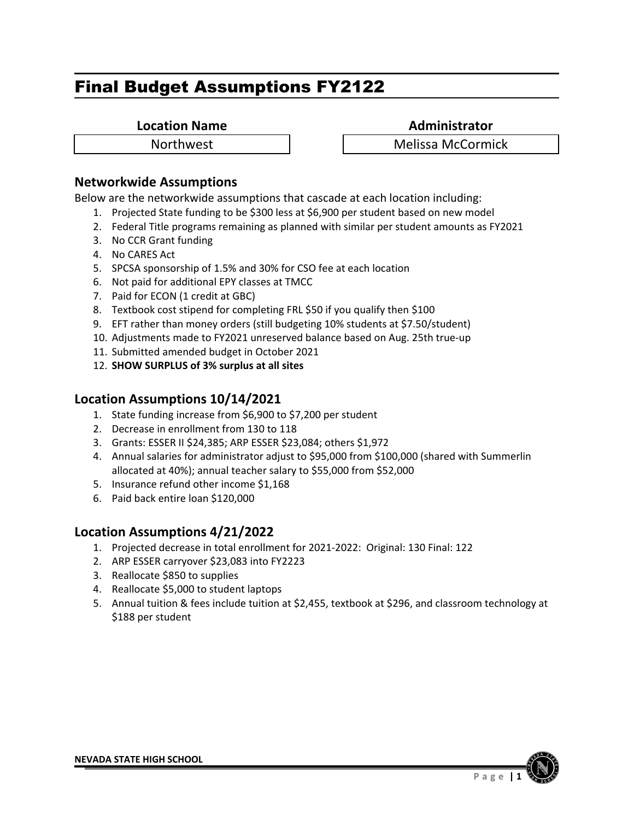### **Location Name**<br> **Administrator**

Northwest **1 1 Melissa McCormick** 

# **Networkwide Assumptions**

Below are the networkwide assumptions that cascade at each location including:

- 1. Projected State funding to be \$300 less at \$6,900 per student based on new model
- 2. Federal Title programs remaining as planned with similar per student amounts as FY2021
- 3. No CCR Grant funding
- 4. No CARES Act
- 5. SPCSA sponsorship of 1.5% and 30% for CSO fee at each location
- 6. Not paid for additional EPY classes at TMCC
- 7. Paid for ECON (1 credit at GBC)
- 8. Textbook cost stipend for completing FRL \$50 if you qualify then \$100
- 9. EFT rather than money orders (still budgeting 10% students at \$7.50/student)
- 10. Adjustments made to FY2021 unreserved balance based on Aug. 25th true‐up
- 11. Submitted amended budget in October 2021
- 12. **SHOW SURPLUS of 3% surplus at all sites**

# **Location Assumptions 10/14/2021**

- 1. State funding increase from \$6,900 to \$7,200 per student
- 2. Decrease in enrollment from 130 to 118
- 3. Grants: ESSER II \$24,385; ARP ESSER \$23,084; others \$1,972
- 4. Annual salaries for administrator adjust to \$95,000 from \$100,000 (shared with Summerlin allocated at 40%); annual teacher salary to \$55,000 from \$52,000
- 5. Insurance refund other income \$1,168
- 6. Paid back entire loan \$120,000

- 1. Projected decrease in total enrollment for 2021‐2022: Original: 130 Final: 122
- 2. ARP ESSER carryover \$23,083 into FY2223
- 3. Reallocate \$850 to supplies
- 4. Reallocate \$5,000 to student laptops
- 5. Annual tuition & fees include tuition at \$2,455, textbook at \$296, and classroom technology at \$188 per student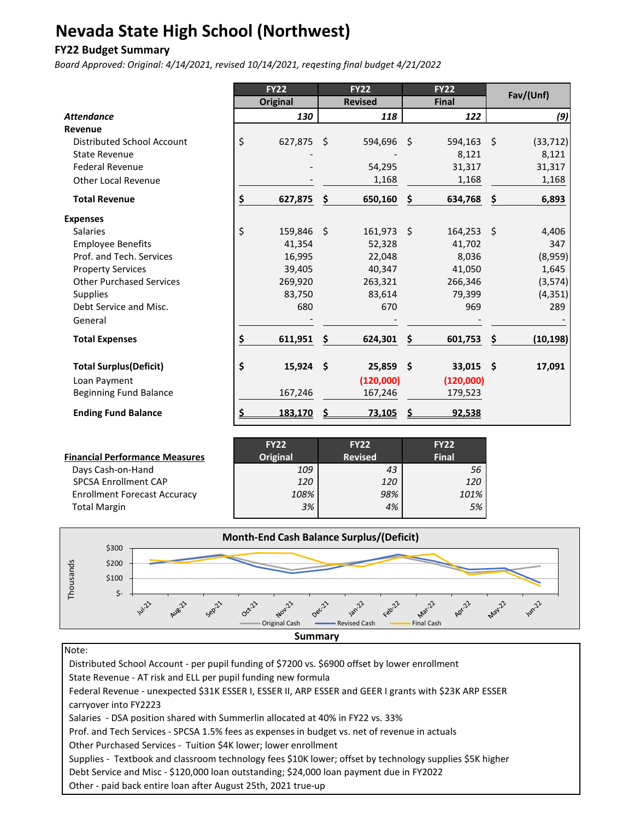# **Nevada State High School (Northwest)**

### **FY22 Budget Summary**

*Board Approved: Original: 4/14/2021, revised 10/14/2021, reqesting final budget 4/21/2022*

|                                 | <b>FY22</b> |                 |      | <b>FY22</b>    |     | <b>FY22</b>  |     | Fav/(Unf) |
|---------------------------------|-------------|-----------------|------|----------------|-----|--------------|-----|-----------|
|                                 |             | <b>Original</b> |      | <b>Revised</b> |     | <b>Final</b> |     |           |
| <b>Attendance</b>               |             | 130             |      | 118            |     | 122          |     | (9)       |
| Revenue                         |             |                 |      |                |     |              |     |           |
| Distributed School Account      | \$          | 627,875 \$      |      | 594,696        | Ŝ.  | 594,163      | -\$ | (33, 712) |
| <b>State Revenue</b>            |             |                 |      |                |     | 8,121        |     | 8,121     |
| <b>Federal Revenue</b>          |             |                 |      | 54,295         |     | 31,317       |     | 31,317    |
| <b>Other Local Revenue</b>      |             |                 |      | 1,168          |     | 1,168        |     | 1,168     |
| <b>Total Revenue</b>            | \$          | 627,875         | Ŝ.   | 650,160        | \$. | 634,768      | \$  | 6,893     |
| <b>Expenses</b>                 |             |                 |      |                |     |              |     |           |
| <b>Salaries</b>                 | \$          | 159,846         | - \$ | 161,973 \$     |     | 164,253 \$   |     | 4,406     |
| <b>Employee Benefits</b>        |             | 41,354          |      | 52,328         |     | 41,702       |     | 347       |
| Prof. and Tech. Services        |             | 16,995          |      | 22,048         |     | 8,036        |     | (8,959)   |
| <b>Property Services</b>        |             | 39,405          |      | 40,347         |     | 41,050       |     | 1,645     |
| <b>Other Purchased Services</b> |             | 269,920         |      | 263,321        |     | 266,346      |     | (3, 574)  |
| <b>Supplies</b>                 |             | 83,750          |      | 83,614         |     | 79,399       |     | (4, 351)  |
| Debt Service and Misc.          |             | 680             |      | 670            |     | 969          |     | 289       |
| General                         |             |                 |      |                |     |              |     |           |
| <b>Total Expenses</b>           | \$          | 611,951         | \$.  | 624,301        | \$  | 601,753      | \$  | (10, 198) |
| <b>Total Surplus (Deficit)</b>  | \$          | $15,924$ \$     |      | $25,859$ \$    |     | $33,015$ \$  |     | 17,091    |
| Loan Payment                    |             |                 |      | (120,000)      |     | (120,000)    |     |           |
| <b>Beginning Fund Balance</b>   |             | 167,246         |      | 167,246        |     | 179,523      |     |           |
| <b>Ending Fund Balance</b>      | \$          | 183,170         |      | 73,105         |     | 92,538       |     |           |

|                                       | <b>FY22</b>     | <b>FY22</b>    | <b>FY22</b>  |
|---------------------------------------|-----------------|----------------|--------------|
| <b>Financial Performance Measures</b> | <b>Original</b> | <b>Revised</b> | <b>Final</b> |
| Days Cash-on-Hand                     | 109             | 43             | 56           |
| SPCSA Enrollment CAP                  | 120             | 120            | 120          |
| <b>Enrollment Forecast Accuracy</b>   | 108%            | 98%            | 101%         |
| <b>Total Margin</b>                   | 3%              | 4%             | 5%           |
|                                       |                 |                |              |



#### Note:

 Distributed School Account ‐ per pupil funding of \$7200 vs. \$6900 offset by lower enrollment State Revenue ‐ AT risk and ELL per pupil funding new formula Federal Revenue ‐ unexpected \$31K ESSER I, ESSER II, ARP ESSER and GEER I grants with \$23K ARP ESSER carryover into FY2223 Salaries ‐ DSA position shared with Summerlin allocated at 40% in FY22 vs. 33% Prof. and Tech Services ‐ SPCSA 1.5% fees as expenses in budget vs. net of revenue in actuals Other Purchased Services ‐ Tuition \$4K lower; lower enrollment Supplies ‐ Textbook and classroom technology fees \$10K lower; offset by technology supplies \$5K higher Debt Service and Misc ‐ \$120,000 loan outstanding; \$24,000 loan payment due in FY2022 Other ‐ paid back entire loan after August 25th, 2021 true‐up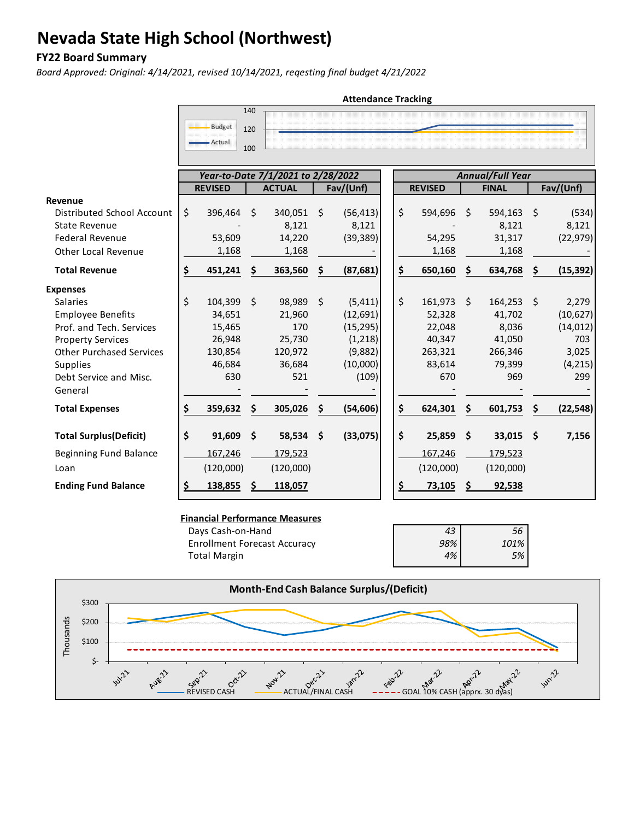# **Nevada State High School (Northwest)**

## **FY22 Board Summary**

*Board Approved: Original: 4/14/2021, revised 10/14/2021, reqesting final budget 4/21/2022*

|                                 |    |                | 140 |                                    |         |           |           |                |     |                         |    |           |
|---------------------------------|----|----------------|-----|------------------------------------|---------|-----------|-----------|----------------|-----|-------------------------|----|-----------|
|                                 |    | <b>Budget</b>  | 120 |                                    |         |           |           |                |     |                         |    |           |
|                                 |    | - Actual       | 100 |                                    |         |           |           |                |     |                         |    |           |
|                                 |    |                |     |                                    |         |           |           |                |     |                         |    |           |
|                                 |    |                |     | Year-to-Date 7/1/2021 to 2/28/2022 |         |           |           |                |     | <b>Annual/Full Year</b> |    |           |
|                                 |    | <b>REVISED</b> |     | <b>ACTUAL</b>                      |         | Fav/(Unf) |           | <b>REVISED</b> |     | <b>FINAL</b>            |    | Fav/(Unf) |
| Revenue                         |    |                |     |                                    |         |           |           |                |     |                         |    |           |
| Distributed School Account      | Ś. | 396,464        | -Ś  | 340,051                            | Ŝ.      | (56, 413) | \$        | 594,696        | S.  | 594,163                 | Ŝ. | (534)     |
| <b>State Revenue</b>            |    |                |     | 8,121                              |         | 8,121     |           |                |     | 8,121                   |    | 8,121     |
| <b>Federal Revenue</b>          |    | 53,609         |     | 14,220                             |         | (39, 389) |           | 54,295         |     | 31,317                  |    | (22, 979) |
| <b>Other Local Revenue</b>      |    | 1,168          |     | 1,168                              |         |           |           | 1,168          |     | 1,168                   |    |           |
| <b>Total Revenue</b>            | \$ | 451,241        | \$  | 363,560                            | Ŝ.      | (87, 681) | \$        | 650,160        | \$  | 634,768                 | S  | (15, 392) |
| <b>Expenses</b>                 |    |                |     |                                    |         |           |           |                |     |                         |    |           |
| <b>Salaries</b>                 | \$ | 104,399        | \$  | 98,989                             | $\zeta$ | (5, 411)  | \$        | 161,973        | \$  | 164,253                 | S. | 2,279     |
| <b>Employee Benefits</b>        |    | 34,651         |     | 21,960                             |         | (12,691)  |           | 52,328         |     | 41,702                  |    | (10,627)  |
| Prof. and Tech. Services        |    | 15,465         |     | 170                                |         | (15, 295) |           | 22,048         |     | 8,036                   |    | (14, 012) |
| <b>Property Services</b>        |    | 26,948         |     | 25,730                             |         | (1, 218)  |           | 40,347         |     | 41,050                  |    | 703       |
| <b>Other Purchased Services</b> |    | 130,854        |     | 120,972                            |         | (9,882)   |           | 263,321        |     | 266,346                 |    | 3,025     |
| Supplies                        |    | 46,684         |     | 36,684                             |         | (10,000)  |           | 83,614         |     | 79,399                  |    | (4, 215)  |
| Debt Service and Misc.          |    | 630            |     | 521                                |         | (109)     |           | 670            |     | 969                     |    | 299       |
| General                         |    |                |     |                                    |         |           |           |                |     |                         |    |           |
| <b>Total Expenses</b>           | \$ | 359,632        | \$  | 305,026                            | Ŝ.      | (54, 606) | \$        | 624,301        | \$  | 601,753                 | Ŝ. | (22, 548) |
| <b>Total Surplus (Deficit)</b>  | \$ | 91,609         | \$  | 58,534                             | \$      | (33,075)  | \$        | 25,859         | -\$ | 33,015                  | Ŝ. | 7,156     |
| Beginning Fund Balance          |    | 167,246        |     | 179,523                            |         |           |           | 167,246        |     | 179,523                 |    |           |
| Loan                            |    | (120,000)      |     | (120,000)                          |         |           |           | (120,000)      |     | (120,000)               |    |           |
| <b>Ending Fund Balance</b>      |    | $138,855$ \$   |     | 118,057                            |         |           | <u>\$</u> | $73,105$ \$    |     | 92,538                  |    |           |

### **Attendance Tracking**

#### **Financial Performance Measures**

Days Cash‐on‐Hand  *43 56* **Enrollment Forecast Accuracy Total Margin** 

| 43  | 56   |
|-----|------|
| 98% | 101% |
| 4%  | 5%   |
|     |      |

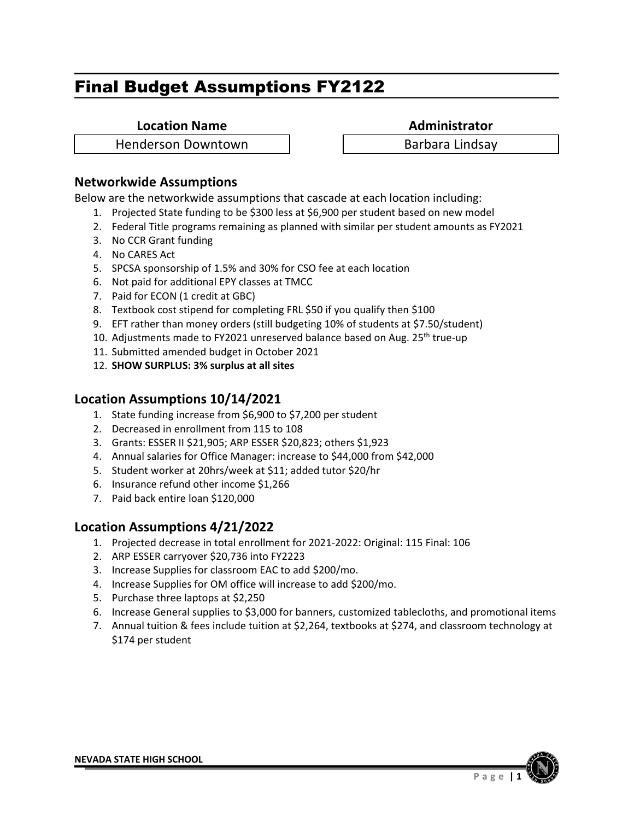**Location Name**<br> **Administrator** 

Henderson Downtown **1 Barbara Lindsay** 

# **Networkwide Assumptions**

Below are the networkwide assumptions that cascade at each location including:

- 1. Projected State funding to be \$300 less at \$6,900 per student based on new model
- 2. Federal Title programs remaining as planned with similar per student amounts as FY2021
- 3. No CCR Grant funding
- 4. No CARES Act
- 5. SPCSA sponsorship of 1.5% and 30% for CSO fee at each location
- 6. Not paid for additional EPY classes at TMCC
- 7. Paid for ECON (1 credit at GBC)
- 8. Textbook cost stipend for completing FRL \$50 if you qualify then \$100
- 9. EFT rather than money orders (still budgeting 10% of students at \$7.50/student)
- 10. Adjustments made to FY2021 unreserved balance based on Aug. 25<sup>th</sup> true-up
- 11. Submitted amended budget in October 2021
- 12. **SHOW SURPLUS: 3% surplus at all sites**

# **Location Assumptions 10/14/2021**

- 1. State funding increase from \$6,900 to \$7,200 per student
- 2. Decreased in enrollment from 115 to 108
- 3. Grants: ESSER II \$21,905; ARP ESSER \$20,823; others \$1,923
- 4. Annual salaries for Office Manager: increase to \$44,000 from \$42,000
- 5. Student worker at 20hrs/week at \$11; added tutor \$20/hr
- 6. Insurance refund other income \$1,266
- 7. Paid back entire loan \$120,000

- 1. Projected decrease in total enrollment for 2021‐2022: Original: 115 Final: 106
- 2. ARP ESSER carryover \$20,736 into FY2223
- 3. Increase Supplies for classroom EAC to add \$200/mo.
- 4. Increase Supplies for OM office will increase to add \$200/mo.
- 5. Purchase three laptops at \$2,250
- 6. Increase General supplies to \$3,000 for banners, customized tablecloths, and promotional items
- 7. Annual tuition & fees include tuition at \$2,264, textbooks at \$274, and classroom technology at \$174 per student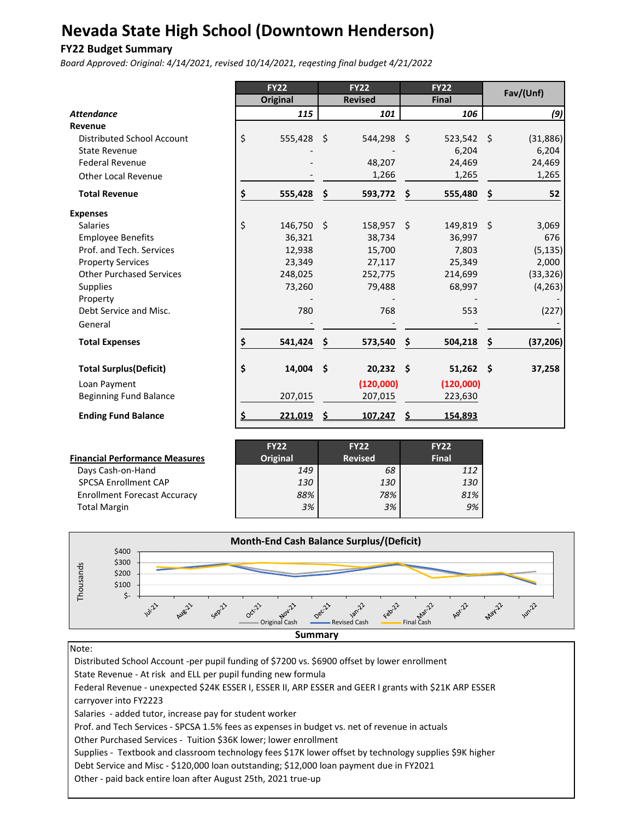# **Nevada State High School (Downtown Henderson)**

### **FY22 Budget Summary**

*Board Approved: Original: 4/14/2021, revised 10/14/2021, reqesting final budget 4/21/2022*

|                                 |    | <b>FY22</b> | <b>FY22</b>    |    | <b>FY22</b>  |      | Fav/(Unf) |  |  |
|---------------------------------|----|-------------|----------------|----|--------------|------|-----------|--|--|
|                                 |    | Original    | <b>Revised</b> |    | <b>Final</b> |      |           |  |  |
| <b>Attendance</b>               |    | 115         | 101            |    | 106          |      | (9)       |  |  |
| Revenue                         |    |             |                |    |              |      |           |  |  |
| Distributed School Account      | \$ | 555,428 \$  | 544,298        | Ŝ. | 523,542      | - \$ | (31, 886) |  |  |
| <b>State Revenue</b>            |    |             |                |    | 6,204        |      | 6,204     |  |  |
| <b>Federal Revenue</b>          |    |             | 48,207         |    | 24,469       |      | 24,469    |  |  |
| <b>Other Local Revenue</b>      |    |             | 1,266          |    | 1,265        |      | 1,265     |  |  |
| <b>Total Revenue</b>            | \$ | 555,428     | \$<br>593,772  | \$ | 555,480      | \$   | 52        |  |  |
| <b>Expenses</b>                 |    |             |                |    |              |      |           |  |  |
| <b>Salaries</b>                 | \$ | 146,750 \$  | 158,957 \$     |    | 149,819 \$   |      | 3,069     |  |  |
| <b>Employee Benefits</b>        |    | 36,321      | 38,734         |    | 36,997       |      | 676       |  |  |
| Prof. and Tech. Services        |    | 12,938      | 15,700         |    | 7,803        |      | (5, 135)  |  |  |
| <b>Property Services</b>        |    | 23,349      | 27,117         |    | 25,349       |      | 2,000     |  |  |
| <b>Other Purchased Services</b> |    | 248,025     | 252,775        |    | 214,699      |      | (33, 326) |  |  |
| <b>Supplies</b>                 |    | 73,260      | 79,488         |    | 68,997       |      | (4, 263)  |  |  |
| Property                        |    |             |                |    |              |      |           |  |  |
| Debt Service and Misc.          |    | 780         | 768            |    | 553          |      | (227)     |  |  |
| General                         |    |             |                |    |              |      |           |  |  |
| <b>Total Expenses</b>           | \$ | 541,424     | \$<br>573,540  | \$ | 504,218      | \$   | (37, 206) |  |  |
| <b>Total Surplus (Deficit)</b>  | \$ | 14,004 \$   | $20,232$ \$    |    | $51,262$ \$  |      | 37,258    |  |  |
| Loan Payment                    |    |             | (120,000)      |    | (120,000)    |      |           |  |  |
| <b>Beginning Fund Balance</b>   |    | 207,015     | 207,015        |    | 223,630      |      |           |  |  |
| <b>Ending Fund Balance</b>      | S  | 221,019     | 107,247        |    | 154.893      |      |           |  |  |

|                                       | <b>FY22</b>     | <b>FY22</b>    | <b>FY22</b>  |
|---------------------------------------|-----------------|----------------|--------------|
| <b>Financial Performance Measures</b> | <b>Original</b> | <b>Revised</b> | <b>Final</b> |
| Days Cash-on-Hand                     | 149             | 68             | 112          |
| <b>SPCSA Enrollment CAP</b>           | 130             | <i>130</i>     | 130          |
| <b>Enrollment Forecast Accuracy</b>   | 88%             | 78%            | 81%          |
| <b>Total Margin</b>                   | 3%              | 3%             | 9%           |



#### Note:

 Distributed School Account ‐per pupil funding of \$7200 vs. \$6900 offset by lower enrollment State Revenue ‐ At risk and ELL per pupil funding new formula Federal Revenue ‐ unexpected \$24K ESSER I, ESSER II, ARP ESSER and GEER I grants with \$21K ARP ESSER carryover into FY2223 Salaries - added tutor, increase pay for student worker Prof. and Tech Services ‐ SPCSA 1.5% fees as expenses in budget vs. net of revenue in actuals Other Purchased Services ‐ Tuition \$36K lower; lower enrollment Supplies - Textbook and classroom technology fees \$17K lower offset by technology supplies \$9K higher Debt Service and Misc - \$120,000 loan outstanding; \$12,000 loan payment due in FY2021 Other ‐ paid back entire loan after August 25th, 2021 true‐up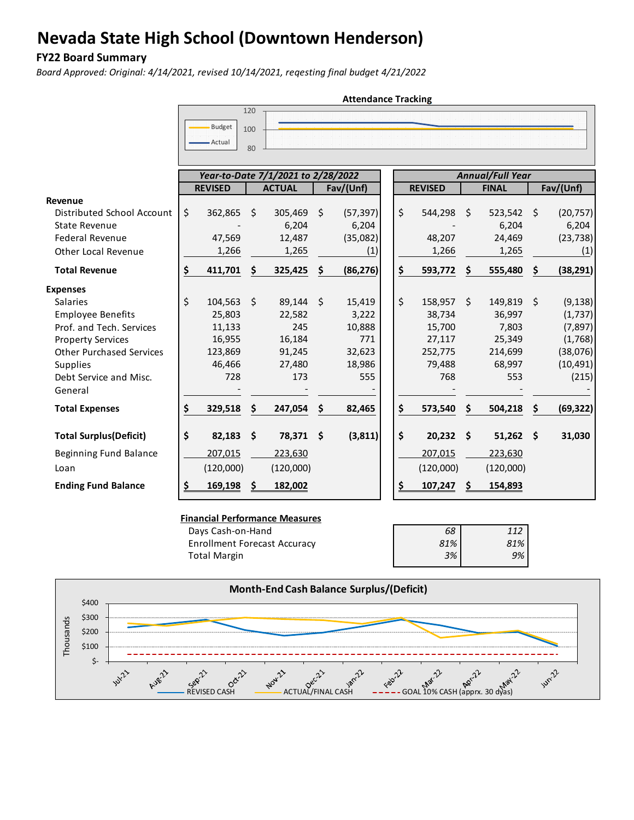# **Nevada State High School (Downtown Henderson)**

# **FY22 Board Summary**

*Board Approved: Original: 4/14/2021, revised 10/14/2021, reqesting final budget 4/21/2022*

|                                 |                   |     |                                    |         | <b>Attendance Tracking</b> |           |                |      |                         |                     |           |
|---------------------------------|-------------------|-----|------------------------------------|---------|----------------------------|-----------|----------------|------|-------------------------|---------------------|-----------|
|                                 |                   | 120 |                                    |         |                            |           |                |      |                         |                     |           |
|                                 | Budget            | 100 |                                    |         |                            |           |                |      |                         |                     |           |
|                                 | - Actual          |     |                                    |         |                            |           |                |      |                         |                     |           |
|                                 |                   | 80  |                                    |         |                            |           |                |      |                         |                     |           |
|                                 |                   |     | Year-to-Date 7/1/2021 to 2/28/2022 |         |                            |           |                |      | <b>Annual/Full Year</b> |                     |           |
|                                 | <b>REVISED</b>    |     | <b>ACTUAL</b>                      |         | Fav/(Unf)                  |           | <b>REVISED</b> |      | <b>FINAL</b>            |                     | Fav/(Unf) |
| Revenue                         |                   |     |                                    |         |                            |           |                |      |                         |                     |           |
| Distributed School Account      | \$<br>362,865     | \$  | 305,469                            | \$      | (57, 397)                  | \$        | 544,298        | Ŝ.   | 523,542                 | Ŝ.                  | (20, 757) |
| <b>State Revenue</b>            |                   |     | 6,204                              |         | 6,204                      |           |                |      | 6,204                   |                     | 6,204     |
| <b>Federal Revenue</b>          | 47,569            |     | 12,487                             |         | (35,082)                   |           | 48,207         |      | 24,469                  |                     | (23, 738) |
| <b>Other Local Revenue</b>      | 1,266             |     | 1,265                              |         | (1)                        |           | 1,266          |      | 1,265                   |                     | (1)       |
| <b>Total Revenue</b>            | \$<br>411,701     | Ś.  | 325,425                            | \$      | (86, 276)                  | \$        | 593,772        | \$   | 555,480                 | \$                  | (38, 291) |
| <b>Expenses</b>                 |                   |     |                                    |         |                            |           |                |      |                         |                     |           |
| <b>Salaries</b>                 | \$<br>104,563     | \$  | 89,144                             | $\zeta$ | 15,419                     | \$        | 158,957        | \$   | 149,819                 | $\ddot{\mathsf{S}}$ | (9, 138)  |
| <b>Employee Benefits</b>        | 25,803            |     | 22,582                             |         | 3,222                      |           | 38,734         |      | 36,997                  |                     | (1,737)   |
| Prof. and Tech. Services        | 11,133            |     | 245                                |         | 10,888                     |           | 15,700         |      | 7,803                   |                     | (7, 897)  |
| <b>Property Services</b>        | 16,955            |     | 16,184                             |         | 771                        |           | 27,117         |      | 25,349                  |                     | (1,768)   |
| <b>Other Purchased Services</b> | 123,869           |     | 91,245                             |         | 32,623                     |           | 252,775        |      | 214,699                 |                     | (38,076)  |
| <b>Supplies</b>                 | 46,466            |     | 27,480                             |         | 18,986                     |           | 79,488         |      | 68,997                  |                     | (10, 491) |
| Debt Service and Misc.          | 728               |     | 173                                |         | 555                        |           | 768            |      | 553                     |                     | (215)     |
| General                         |                   |     |                                    |         |                            |           |                |      |                         |                     |           |
| <b>Total Expenses</b>           | \$<br>329,518     | \$  | 247,054                            | \$      | 82,465                     | \$        | 573,540        | \$   | 504,218                 | \$                  | (69, 322) |
| <b>Total Surplus(Deficit)</b>   | \$<br>$82,183$ \$ |     | 78,371                             | Ŝ       | (3, 811)                   | \$        | 20,232         | - \$ | 51,262                  | -\$                 | 31,030    |
| Beginning Fund Balance          | 207,015           |     | 223,630                            |         |                            |           | 207,015        |      | 223,630                 |                     |           |
| Loan                            | (120,000)         |     | (120,000)                          |         |                            |           | (120,000)      |      | (120,000)               |                     |           |
| <b>Ending Fund Balance</b>      | 169,198           | \$  | 182,002                            |         |                            | <u>\$</u> | 107,247        | S    | 154,893                 |                     |           |

#### **Financial Performance Measures**

Days Cash‐on‐Hand  *68 112* **Enrollment Forecast Accuracy Total Margin** 

| 68  | 112 |
|-----|-----|
| 81% | 81% |
| 3%  | 9%  |
|     |     |

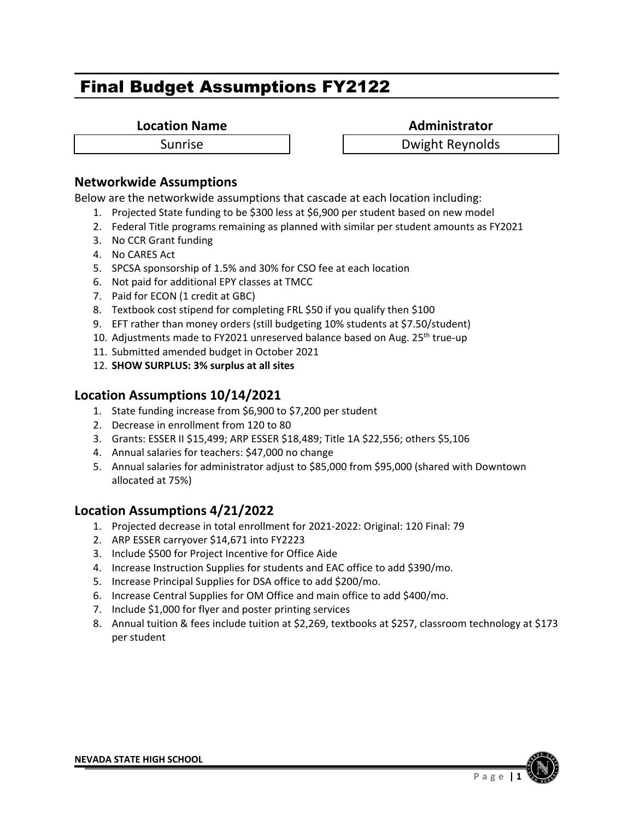### **Location Name**<br> **Administrator**

Sunrise **1 Dwight Reynolds** 

# **Networkwide Assumptions**

Below are the networkwide assumptions that cascade at each location including:

- 1. Projected State funding to be \$300 less at \$6,900 per student based on new model
- 2. Federal Title programs remaining as planned with similar per student amounts as FY2021
- 3. No CCR Grant funding
- 4. No CARES Act
- 5. SPCSA sponsorship of 1.5% and 30% for CSO fee at each location
- 6. Not paid for additional EPY classes at TMCC
- 7. Paid for ECON (1 credit at GBC)
- 8. Textbook cost stipend for completing FRL \$50 if you qualify then \$100
- 9. EFT rather than money orders (still budgeting 10% students at \$7.50/student)
- 10. Adjustments made to FY2021 unreserved balance based on Aug. 25<sup>th</sup> true-up
- 11. Submitted amended budget in October 2021
- 12. **SHOW SURPLUS: 3% surplus at all sites**

# **Location Assumptions 10/14/2021**

- 1. State funding increase from \$6,900 to \$7,200 per student
- 2. Decrease in enrollment from 120 to 80
- 3. Grants: ESSER II \$15,499; ARP ESSER \$18,489; Title 1A \$22,556; others \$5,106
- 4. Annual salaries for teachers: \$47,000 no change
- 5. Annual salaries for administrator adjust to \$85,000 from \$95,000 (shared with Downtown allocated at 75%)

- 1. Projected decrease in total enrollment for 2021‐2022: Original: 120 Final: 79
- 2. ARP ESSER carryover \$14,671 into FY2223
- 3. Include \$500 for Project Incentive for Office Aide
- 4. Increase Instruction Supplies for students and EAC office to add \$390/mo.
- 5. Increase Principal Supplies for DSA office to add \$200/mo.
- 6. Increase Central Supplies for OM Office and main office to add \$400/mo.
- 7. Include \$1,000 for flyer and poster printing services
- 8. Annual tuition & fees include tuition at \$2,269, textbooks at \$257, classroom technology at \$173 per student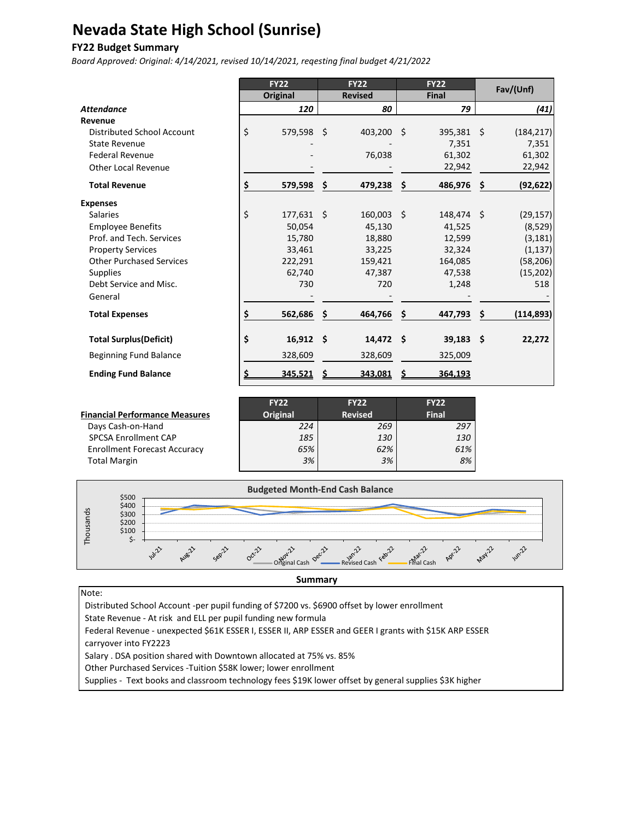# **Nevada State High School (Sunrise)**

### **FY22 Budget Summary**

*Board Approved: Original: 4/14/2021, revised 10/14/2021, reqesting final budget 4/21/2022*

|                                 | <b>FY22</b> |              | <b>FY22</b>    |    | <b>FY22</b>  | Fav/(Unf)        |
|---------------------------------|-------------|--------------|----------------|----|--------------|------------------|
|                                 |             | Original     | <b>Revised</b> |    | <b>Final</b> |                  |
| <b>Attendance</b>               |             | 120          | 80             |    | 79           | (41)             |
| Revenue                         |             |              |                |    |              |                  |
| Distributed School Account      | \$          | 579,598 \$   | 403,200 \$     |    | $395,381$ \$ | (184, 217)       |
| <b>State Revenue</b>            |             |              |                |    | 7,351        | 7,351            |
| <b>Federal Revenue</b>          |             |              | 76,038         |    | 61,302       | 61,302           |
| <b>Other Local Revenue</b>      |             |              |                |    | 22,942       | 22,942           |
| <b>Total Revenue</b>            | \$          | 579,598      | \$<br>479,238  | \$ | 486,976      | \$<br>(92, 622)  |
| <b>Expenses</b>                 |             |              |                |    |              |                  |
| <b>Salaries</b>                 | \$          | $177,631$ \$ | $160,003$ \$   |    | 148,474 \$   | (29, 157)        |
| <b>Employee Benefits</b>        |             | 50,054       | 45,130         |    | 41,525       | (8,529)          |
| Prof. and Tech. Services        |             | 15,780       | 18,880         |    | 12,599       | (3, 181)         |
| <b>Property Services</b>        |             | 33.461       | 33,225         |    | 32,324       | (1, 137)         |
| <b>Other Purchased Services</b> |             | 222,291      | 159,421        |    | 164,085      | (58, 206)        |
| <b>Supplies</b>                 |             | 62,740       | 47,387         |    | 47,538       | (15, 202)        |
| Debt Service and Misc.          |             | 730          | 720            |    | 1,248        | 518              |
| General                         |             |              |                |    |              |                  |
| <b>Total Expenses</b>           | \$          | 562,686      | \$<br>464,766  | \$ | 447,793      | \$<br>(114, 893) |
| <b>Total Surplus (Deficit)</b>  | \$          | $16,912$ \$  | $14,472$ \$    |    | $39,183$ \$  | 22,272           |
| Beginning Fund Balance          |             | 328,609      | 328,609        |    | 325,009      |                  |
| <b>Ending Fund Balance</b>      | S           | 345,521      | 343,081        | S  | 364,193      |                  |

|                                       | <b>FY22</b> | <b>FY22</b>    |              |  |  |  |
|---------------------------------------|-------------|----------------|--------------|--|--|--|
| <b>Financial Performance Measures</b> | Original    | <b>Revised</b> | <b>Final</b> |  |  |  |
| Days Cash-on-Hand                     | 224         | 269            | 297          |  |  |  |
| <b>SPCSA Enrollment CAP</b>           | 185         | 130            | 130          |  |  |  |
| <b>Enrollment Forecast Accuracy</b>   | 65%         | 62%            | 61%          |  |  |  |
| <b>Total Margin</b>                   | 3%          | 3%             | 8%           |  |  |  |



**Summary**

Note: Distributed School Account ‐per pupil funding of \$7200 vs. \$6900 offset by lower enrollment State Revenue ‐ At risk and ELL per pupil funding new formula Federal Revenue - unexpected \$61K ESSER I, ESSER II, ARP ESSER and GEER I grants with \$15K ARP ESSER carryover into FY2223 Salary . DSA position shared with Downtown allocated at 75% vs. 85% Other Purchased Services ‐Tuition \$58K lower; lower enrollment Supplies ‐ Text books and classroom technology fees \$19K lower offset by general supplies \$3K higher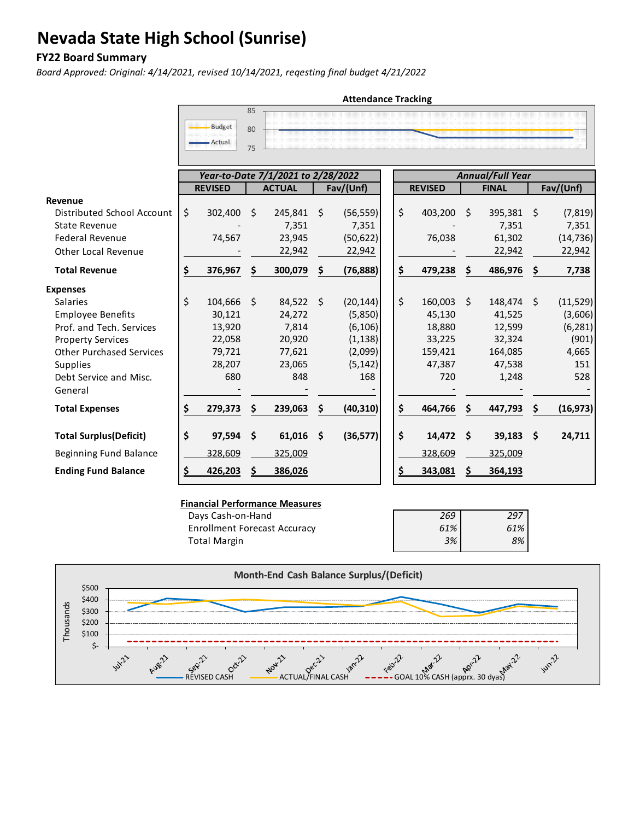# **Nevada State High School (Sunrise)**

# **FY22 Board Summary**

*Board Approved: Original: 4/14/2021, revised 10/14/2021, reqesting final budget 4/21/2022*

|                                 |                |    |                                    |     | <b>Attendance Tracking</b> |    |                |      |                         |    |           |
|---------------------------------|----------------|----|------------------------------------|-----|----------------------------|----|----------------|------|-------------------------|----|-----------|
|                                 |                | 85 |                                    |     |                            |    |                |      |                         |    |           |
|                                 | Budget         | 80 |                                    |     |                            |    |                |      |                         |    |           |
|                                 | <b>Actual</b>  |    |                                    |     |                            |    |                |      |                         |    |           |
|                                 |                | 75 |                                    |     |                            |    |                |      |                         |    |           |
|                                 |                |    |                                    |     |                            |    |                |      |                         |    |           |
|                                 |                |    | Year-to-Date 7/1/2021 to 2/28/2022 |     |                            |    |                |      | <b>Annual/Full Year</b> |    |           |
|                                 | <b>REVISED</b> |    | <b>ACTUAL</b>                      |     | Fav/(Unf)                  |    | <b>REVISED</b> |      | <b>FINAL</b>            |    | Fav/(Unf) |
| Revenue                         |                |    |                                    |     |                            |    |                |      |                         |    |           |
| Distributed School Account      | \$<br>302,400  | Ŝ. | 245,841                            | -\$ | (56, 559)                  | \$ | 403,200        | - \$ | 395,381 \$              |    | (7, 819)  |
| <b>State Revenue</b>            |                |    | 7,351                              |     | 7,351                      |    |                |      | 7,351                   |    | 7,351     |
| <b>Federal Revenue</b>          | 74,567         |    | 23,945                             |     | (50, 622)                  |    | 76,038         |      | 61,302                  |    | (14, 736) |
| <b>Other Local Revenue</b>      |                |    | 22,942                             |     | 22,942                     |    |                |      | 22,942                  |    | 22,942    |
| <b>Total Revenue</b>            | \$<br>376,967  | Ś. | 300,079                            | Ŝ.  | (76, 888)                  | \$ | 479,238        | \$.  | 486,976                 | Ŝ. | 7,738     |
| <b>Expenses</b>                 |                |    |                                    |     |                            |    |                |      |                         |    |           |
| <b>Salaries</b>                 | \$<br>104,666  | Ŝ. | 84,522 \$                          |     | (20, 144)                  | \$ | 160,003        | S.   | 148,474 \$              |    | (11, 529) |
| <b>Employee Benefits</b>        | 30,121         |    | 24,272                             |     | (5,850)                    |    | 45,130         |      | 41,525                  |    | (3,606)   |
| Prof. and Tech. Services        | 13,920         |    | 7,814                              |     | (6, 106)                   |    | 18,880         |      | 12,599                  |    | (6, 281)  |
| <b>Property Services</b>        | 22,058         |    | 20,920                             |     | (1, 138)                   |    | 33,225         |      | 32,324                  |    | (901)     |
| <b>Other Purchased Services</b> | 79,721         |    | 77,621                             |     | (2,099)                    |    | 159,421        |      | 164,085                 |    | 4,665     |
| <b>Supplies</b>                 | 28,207         |    | 23,065                             |     | (5, 142)                   |    | 47,387         |      | 47,538                  |    | 151       |
| Debt Service and Misc.          | 680            |    | 848                                |     | 168                        |    | 720            |      | 1,248                   |    | 528       |
| General                         |                |    |                                    |     |                            |    |                |      |                         |    |           |
| <b>Total Expenses</b>           | \$<br>279,373  | \$ | 239,063                            | \$  | (40, 310)                  | \$ | 464,766        | \$   | 447,793                 | Ŝ. | (16, 973) |
| <b>Total Surplus (Deficit)</b>  | \$<br>97,594   | Ś. | 61,016                             | -Ś  | (36, 577)                  | \$ | 14,472         | - \$ | $39,183$ \$             |    | 24,711    |
| <b>Beginning Fund Balance</b>   | 328,609        |    | 325,009                            |     |                            |    | 328,609        |      | 325,009                 |    |           |
| <b>Ending Fund Balance</b>      | \$<br>426,203  |    | 386,026                            |     |                            |    | 343,081        |      | 364,193                 |    |           |

#### **Attendance Tracking**

### **Financial Performance Measures**

Days Cash‐on‐Hand  *269 297* Enrollment Forecast Accuracy *61% 61%* Total Margin *3% 8%*

| 269 | 297 |
|-----|-----|
| 61% | 61% |
| 3%  | 8%  |
|     |     |

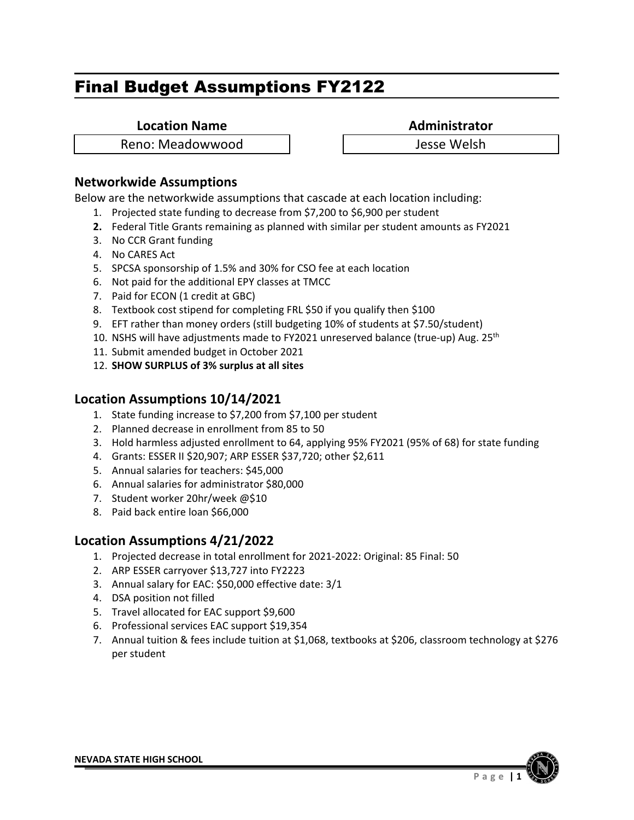**Location Name**<br> **Administrator** 

Reno: Meadowwood Jesse Welsh

# **Networkwide Assumptions**

Below are the networkwide assumptions that cascade at each location including:

- 1. Projected state funding to decrease from \$7,200 to \$6,900 per student
- **2.** Federal Title Grants remaining as planned with similar per student amounts as FY2021
- 3. No CCR Grant funding
- 4. No CARES Act
- 5. SPCSA sponsorship of 1.5% and 30% for CSO fee at each location
- 6. Not paid for the additional EPY classes at TMCC
- 7. Paid for ECON (1 credit at GBC)
- 8. Textbook cost stipend for completing FRL \$50 if you qualify then \$100
- 9. EFT rather than money orders (still budgeting 10% of students at \$7.50/student)
- 10. NSHS will have adjustments made to FY2021 unreserved balance (true-up) Aug.  $25<sup>th</sup>$
- 11. Submit amended budget in October 2021
- 12. **SHOW SURPLUS of 3% surplus at all sites**

# **Location Assumptions 10/14/2021**

- 1. State funding increase to \$7,200 from \$7,100 per student
- 2. Planned decrease in enrollment from 85 to 50
- 3. Hold harmless adjusted enrollment to 64, applying 95% FY2021 (95% of 68) for state funding
- 4. Grants: ESSER II \$20,907; ARP ESSER \$37,720; other \$2,611
- 5. Annual salaries for teachers: \$45,000
- 6. Annual salaries for administrator \$80,000
- 7. Student worker 20hr/week @\$10
- 8. Paid back entire loan \$66,000

- 1. Projected decrease in total enrollment for 2021‐2022: Original: 85 Final: 50
- 2. ARP ESSER carryover \$13,727 into FY2223
- 3. Annual salary for EAC: \$50,000 effective date: 3/1
- 4. DSA position not filled
- 5. Travel allocated for EAC support \$9,600
- 6. Professional services EAC support \$19,354
- 7. Annual tuition & fees include tuition at \$1,068, textbooks at \$206, classroom technology at \$276 per student

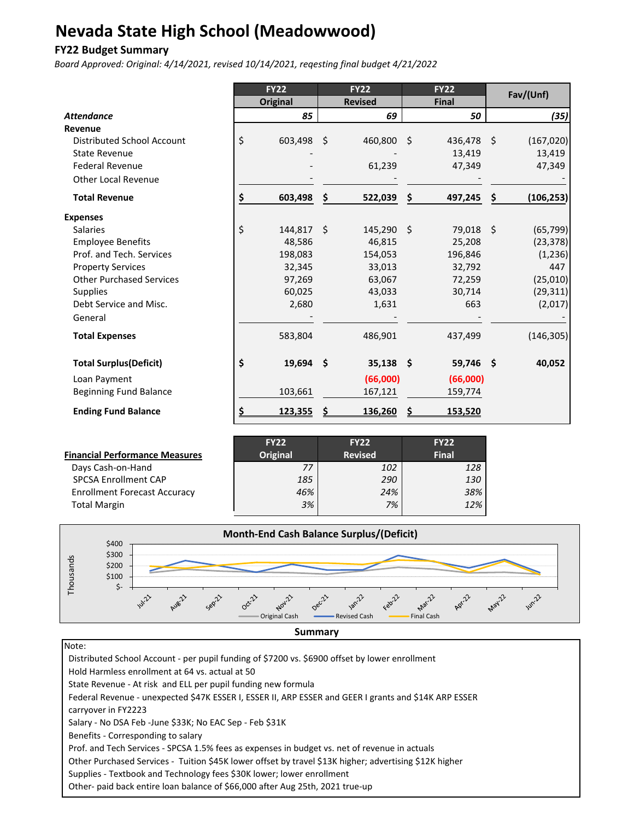# **Nevada State High School (Meadowwood)**

### **FY22 Budget Summary**

*Board Approved: Original: 4/14/2021, revised 10/14/2021, reqesting final budget 4/21/2022*

|                                 | <b>FY22</b> |                 |      | <b>FY22</b>    |    | <b>FY22</b>  |      | Fav/(Unf)  |
|---------------------------------|-------------|-----------------|------|----------------|----|--------------|------|------------|
|                                 |             | <b>Original</b> |      | <b>Revised</b> |    | <b>Final</b> |      |            |
| <b>Attendance</b>               |             | 85              |      | 69             |    | 50           |      | (35)       |
| Revenue                         |             |                 |      |                |    |              |      |            |
| Distributed School Account      | \$          | 603,498         | - \$ | 460,800        | Ś. | 436,478      | -\$  | (167, 020) |
| <b>State Revenue</b>            |             |                 |      |                |    | 13,419       |      | 13,419     |
| <b>Federal Revenue</b>          |             |                 |      | 61,239         |    | 47,349       |      | 47,349     |
| <b>Other Local Revenue</b>      |             |                 |      |                |    |              |      |            |
| <b>Total Revenue</b>            | \$          | 603,498         | S    | 522,039        | \$ | 497,245      | \$.  | (106, 253) |
| <b>Expenses</b>                 |             |                 |      |                |    |              |      |            |
| <b>Salaries</b>                 | \$          | 144,817 \$      |      | 145,290 \$     |    | 79,018       | - \$ | (65, 799)  |
| <b>Employee Benefits</b>        |             | 48,586          |      | 46,815         |    | 25,208       |      | (23, 378)  |
| Prof. and Tech. Services        |             | 198,083         |      | 154,053        |    | 196,846      |      | (1, 236)   |
| <b>Property Services</b>        |             | 32,345          |      | 33,013         |    | 32,792       |      | 447        |
| <b>Other Purchased Services</b> |             | 97,269          |      | 63,067         |    | 72,259       |      | (25,010)   |
| <b>Supplies</b>                 |             | 60,025          |      | 43,033         |    | 30,714       |      | (29, 311)  |
| Debt Service and Misc.          |             | 2,680           |      | 1,631          |    | 663          |      | (2,017)    |
| General                         |             |                 |      |                |    |              |      |            |
| <b>Total Expenses</b>           |             | 583,804         |      | 486,901        |    | 437,499      |      | (146, 305) |
| <b>Total Surplus (Deficit)</b>  | \$          | $19,694$ \$     |      | $35,138$ \$    |    | 59,746 \$    |      | 40,052     |
| Loan Payment                    |             |                 |      | (66,000)       |    | (66,000)     |      |            |
| <b>Beginning Fund Balance</b>   |             | 103,661         |      | 167,121        |    | 159,774      |      |            |
| <b>Ending Fund Balance</b>      | \$          | 123,355         |      | 136,260        |    | 153,520      |      |            |

|                                       | <b>FY22</b> | <b>FY22</b>    | <b>FY22</b>  |
|---------------------------------------|-------------|----------------|--------------|
| <b>Financial Performance Measures</b> | Original    | <b>Revised</b> | <b>Final</b> |
| Days Cash-on-Hand                     | 77          | 102            | 128          |
| <b>SPCSA Enrollment CAP</b>           | 185         | 290            | 130          |
| <b>Enrollment Forecast Accuracy</b>   | 46%         | 24%            | 38%          |
| <b>Total Margin</b>                   | 3%          | 7%             | 12%          |





Note: Distributed School Account ‐ per pupil funding of \$7200 vs. \$6900 offset by lower enrollment Hold Harmless enrollment at 64 vs. actual at 50 State Revenue ‐ At risk and ELL per pupil funding new formula Federal Revenue - unexpected \$47K ESSER I, ESSER II, ARP ESSER and GEER I grants and \$14K ARP ESSER carryover in FY2223 Salary ‐ No DSA Feb ‐June \$33K; No EAC Sep ‐ Feb \$31K Benefits ‐ Corresponding to salary Prof. and Tech Services ‐ SPCSA 1.5% fees as expenses in budget vs. net of revenue in actuals Other Purchased Services ‐ Tuition \$45K lower offset by travel \$13K higher; advertising \$12K higher Supplies ‐ Textbook and Technology fees \$30K lower; lower enrollment Other‐ paid back entire loan balance of \$66,000 after Aug 25th, 2021 true‐up